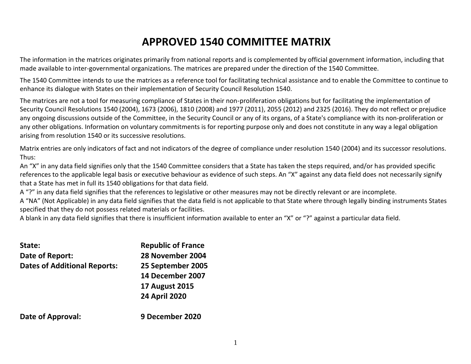# **APPROVED 1540 COMMITTEE MATRIX**

The information in the matrices originates primarily from national reports and is complemented by official government information, including that made available to inter-governmental organizations. The matrices are prepared under the direction of the 1540 Committee.

The 1540 Committee intends to use the matrices as a reference tool for facilitating technical assistance and to enable the Committee to continue to enhance its dialogue with States on their implementation of Security Council Resolution 1540.

The matrices are not a tool for measuring compliance of States in their non-proliferation obligations but for facilitating the implementation of Security Council Resolutions 1540 (2004), 1673 (2006), 1810 (2008) and 1977 (2011), 2055 (2012) and 2325 (2016). They do not reflect or prejudice any ongoing discussions outside of the Committee, in the Security Council or any of its organs, of a State's compliance with its non-proliferation or any other obligations. Information on voluntary commitments is for reporting purpose only and does not constitute in any way a legal obligation arising from resolution 1540 or its successive resolutions.

Matrix entries are only indicators of fact and not indicators of the degree of compliance under resolution 1540 (2004) and its successor resolutions. Thus:

An "X" in any data field signifies only that the 1540 Committee considers that a State has taken the steps required, and/or has provided specific references to the applicable legal basis or executive behaviour as evidence of such steps. An "X" against any data field does not necessarily signify that a State has met in full its 1540 obligations for that data field.

A "?" in any data field signifies that the references to legislative or other measures may not be directly relevant or are incomplete.

A "NA" (Not Applicable) in any data field signifies that the data field is not applicable to that State where through legally binding instruments States specified that they do not possess related materials or facilities.

A blank in any data field signifies that there is insufficient information available to enter an "X" or "?" against a particular data field.

| State:                              | <b>Republic of France</b> |
|-------------------------------------|---------------------------|
| Date of Report:                     | 28 November 2004          |
| <b>Dates of Additional Reports:</b> | 25 September 2005         |
|                                     | 14 December 2007          |
|                                     | <b>17 August 2015</b>     |
|                                     | <b>24 April 2020</b>      |
| <b>Date of Approval:</b>            | 9 December 2020           |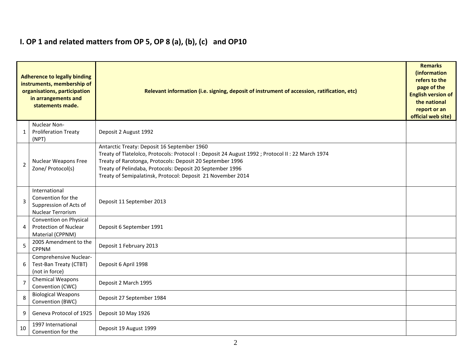# **I. OP 1 and related matters from OP 5, OP 8 (a), (b), (c) and OP10**

|                | <b>Adherence to legally binding</b><br>instruments, membership of<br>organisations, participation<br>in arrangements and<br>statements made. | Relevant information (i.e. signing, deposit of instrument of accession, ratification, etc)                                                                                                                                                                                                                                                 | <b>Remarks</b><br>(information<br>refers to the<br>page of the<br><b>English version of</b><br>the national<br>report or an<br>official web site) |  |  |  |  |  |  |  |
|----------------|----------------------------------------------------------------------------------------------------------------------------------------------|--------------------------------------------------------------------------------------------------------------------------------------------------------------------------------------------------------------------------------------------------------------------------------------------------------------------------------------------|---------------------------------------------------------------------------------------------------------------------------------------------------|--|--|--|--|--|--|--|
| $\mathbf{1}$   | Nuclear Non-<br><b>Proliferation Treaty</b><br>(NPT)                                                                                         | Deposit 2 August 1992                                                                                                                                                                                                                                                                                                                      |                                                                                                                                                   |  |  |  |  |  |  |  |
| $\overline{2}$ | <b>Nuclear Weapons Free</b><br>Zone/ Protocol(s)                                                                                             | Antarctic Treaty: Deposit 16 September 1960<br>Treaty of Tlatelolco, Protocols: Protocol I : Deposit 24 August 1992 ; Protocol II : 22 March 1974<br>Treaty of Rarotonga, Protocols: Deposit 20 September 1996<br>Treaty of Pelindaba, Protocols: Deposit 20 September 1996<br>Treaty of Semipalatinsk, Protocol: Deposit 21 November 2014 |                                                                                                                                                   |  |  |  |  |  |  |  |
| 3              | International<br>Convention for the<br>Suppression of Acts of<br><b>Nuclear Terrorism</b>                                                    | Deposit 11 September 2013                                                                                                                                                                                                                                                                                                                  |                                                                                                                                                   |  |  |  |  |  |  |  |
| 4              | Convention on Physical<br><b>Protection of Nuclear</b><br>Material (CPPNM)                                                                   | Deposit 6 September 1991                                                                                                                                                                                                                                                                                                                   |                                                                                                                                                   |  |  |  |  |  |  |  |
| 5              | 2005 Amendment to the<br><b>CPPNM</b>                                                                                                        | Deposit 1 February 2013                                                                                                                                                                                                                                                                                                                    |                                                                                                                                                   |  |  |  |  |  |  |  |
| 6              | Comprehensive Nuclear-<br>Test-Ban Treaty (CTBT)<br>(not in force)                                                                           | Deposit 6 April 1998                                                                                                                                                                                                                                                                                                                       |                                                                                                                                                   |  |  |  |  |  |  |  |
| $\overline{7}$ | <b>Chemical Weapons</b><br>Convention (CWC)                                                                                                  | Deposit 2 March 1995                                                                                                                                                                                                                                                                                                                       |                                                                                                                                                   |  |  |  |  |  |  |  |
| 8              | <b>Biological Weapons</b><br>Convention (BWC)                                                                                                | Deposit 27 September 1984                                                                                                                                                                                                                                                                                                                  |                                                                                                                                                   |  |  |  |  |  |  |  |
| 9              | Geneva Protocol of 1925                                                                                                                      | Deposit 10 May 1926                                                                                                                                                                                                                                                                                                                        |                                                                                                                                                   |  |  |  |  |  |  |  |
| 10             | 1997 International<br>Convention for the                                                                                                     | Deposit 19 August 1999                                                                                                                                                                                                                                                                                                                     |                                                                                                                                                   |  |  |  |  |  |  |  |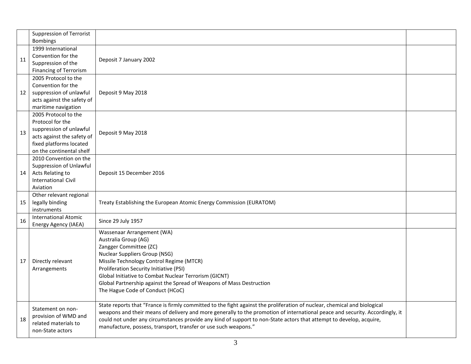|    | <b>Suppression of Terrorist</b><br><b>Bombings</b>                                                                                                       |                                                                                                                                                                                                                                                                                                                                                                                                                                                     |  |
|----|----------------------------------------------------------------------------------------------------------------------------------------------------------|-----------------------------------------------------------------------------------------------------------------------------------------------------------------------------------------------------------------------------------------------------------------------------------------------------------------------------------------------------------------------------------------------------------------------------------------------------|--|
| 11 | 1999 International<br>Convention for the<br>Suppression of the<br>Financing of Terrorism                                                                 | Deposit 7 January 2002                                                                                                                                                                                                                                                                                                                                                                                                                              |  |
| 12 | 2005 Protocol to the<br>Convention for the<br>suppression of unlawful<br>acts against the safety of<br>maritime navigation                               | Deposit 9 May 2018                                                                                                                                                                                                                                                                                                                                                                                                                                  |  |
| 13 | 2005 Protocol to the<br>Protocol for the<br>suppression of unlawful<br>acts against the safety of<br>fixed platforms located<br>on the continental shelf | Deposit 9 May 2018                                                                                                                                                                                                                                                                                                                                                                                                                                  |  |
| 14 | 2010 Convention on the<br>Suppression of Unlawful<br>Acts Relating to<br><b>International Civil</b><br>Aviation                                          | Deposit 15 December 2016                                                                                                                                                                                                                                                                                                                                                                                                                            |  |
| 15 | Other relevant regional<br>legally binding<br>instruments                                                                                                | Treaty Establishing the European Atomic Energy Commission (EURATOM)                                                                                                                                                                                                                                                                                                                                                                                 |  |
| 16 | <b>International Atomic</b><br>Energy Agency (IAEA)                                                                                                      | Since 29 July 1957                                                                                                                                                                                                                                                                                                                                                                                                                                  |  |
| 17 | Directly relevant<br>Arrangements                                                                                                                        | Wassenaar Arrangement (WA)<br>Australia Group (AG)<br>Zangger Committee (ZC)<br><b>Nuclear Suppliers Group (NSG)</b><br>Missile Technology Control Regime (MTCR)<br>Proliferation Security Initiative (PSI)<br>Global Initiative to Combat Nuclear Terrorism (GICNT)<br>Global Partnership against the Spread of Weapons of Mass Destruction<br>The Hague Code of Conduct (HCoC)                                                                    |  |
| 18 | Statement on non-<br>provision of WMD and<br>related materials to<br>non-State actors                                                                    | State reports that "France is firmly committed to the fight against the proliferation of nuclear, chemical and biological<br>weapons and their means of delivery and more generally to the promotion of international peace and security. Accordingly, it<br>could not under any circumstances provide any kind of support to non-State actors that attempt to develop, acquire,<br>manufacture, possess, transport, transfer or use such weapons." |  |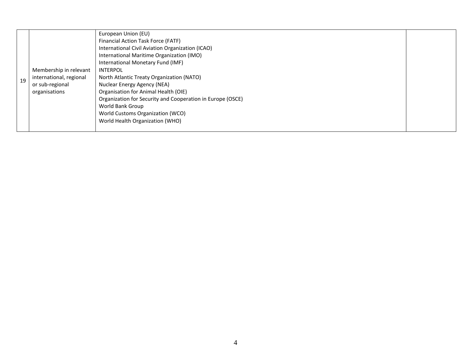| Financial Action Task Force (FATF)<br>International Civil Aviation Organization (ICAO)<br>International Maritime Organization (IMO)<br>International Monetary Fund (IMF)<br>Membership in relevant<br><b>INTERPOL</b><br>international, regional<br>North Atlantic Treaty Organization (NATO)<br>19<br>Nuclear Energy Agency (NEA)<br>or sub-regional<br>Organisation for Animal Health (OIE)<br>organisations<br>Organization for Security and Cooperation in Europe (OSCE)<br>World Bank Group<br>World Customs Organization (WCO)<br>World Health Organization (WHO) |  |
|-------------------------------------------------------------------------------------------------------------------------------------------------------------------------------------------------------------------------------------------------------------------------------------------------------------------------------------------------------------------------------------------------------------------------------------------------------------------------------------------------------------------------------------------------------------------------|--|
|-------------------------------------------------------------------------------------------------------------------------------------------------------------------------------------------------------------------------------------------------------------------------------------------------------------------------------------------------------------------------------------------------------------------------------------------------------------------------------------------------------------------------------------------------------------------------|--|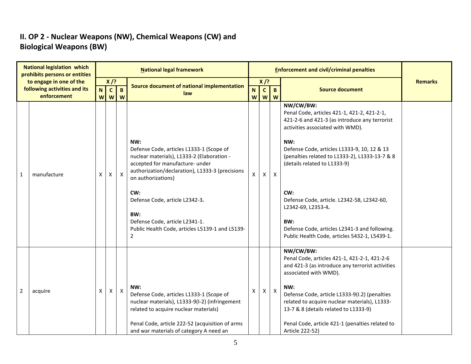## **II. OP 2 - Nuclear Weapons (NW), Chemical Weapons (CW) and Biological Weapons (BW)**

| <b>National legislation which</b><br>prohibits persons or entities |             |                |                            |                     | <b>National legal framework</b>                                                                                                                                                                                                                                                                                                                                  |                |              |                           | <b>Enforcement and civil/criminal penalties</b>                                                                                                                                                                                                                                                                                                                                                                                                                           |                |
|--------------------------------------------------------------------|-------------|----------------|----------------------------|---------------------|------------------------------------------------------------------------------------------------------------------------------------------------------------------------------------------------------------------------------------------------------------------------------------------------------------------------------------------------------------------|----------------|--------------|---------------------------|---------------------------------------------------------------------------------------------------------------------------------------------------------------------------------------------------------------------------------------------------------------------------------------------------------------------------------------------------------------------------------------------------------------------------------------------------------------------------|----------------|
| to engage in one of the                                            |             |                | $X$ /?                     |                     | Source document of national implementation                                                                                                                                                                                                                                                                                                                       |                | $X$ /?       |                           |                                                                                                                                                                                                                                                                                                                                                                                                                                                                           | <b>Remarks</b> |
| following activities and its<br>enforcement                        |             | N <sub>1</sub> | $\mathbf{C}$<br><b>w</b> w | $\overline{B}$<br>W | law                                                                                                                                                                                                                                                                                                                                                              | N.<br><b>W</b> | $\mathbf{C}$ | $\mathbf{B}$<br>$W$ $W$   | <b>Source document</b>                                                                                                                                                                                                                                                                                                                                                                                                                                                    |                |
| $\mathbf{1}$                                                       | manufacture | X              | X                          | $\mathsf{X}$        | NW:<br>Defense Code, articles L1333-1 (Scope of<br>nuclear materials), L1333-2 (Elaboration -<br>accepted for manufacture- under<br>authorization/declaration), L1333-3 (precisions<br>on authorizations)<br>CW:<br>Defense Code, article L2342-3.<br>BW:<br>Defense Code, article L2341-1.<br>Public Health Code, articles L5139-1 and L5139-<br>$\overline{2}$ | $\mathsf{X}$   | X            | $\pmb{\times}$            | NW/CW/BW:<br>Penal Code, articles 421-1, 421-2, 421-2-1,<br>421-2-6 and 421-3 (as introduce any terrorist<br>activities associated with WMD).<br>NW:<br>Defense Code, articles L1333-9, 10, 12 & 13<br>(penalties related to L1333-2), L1333-13-7 & 8<br>(details related to L1333-9)<br>CW:<br>Defense Code, article. L2342-58, L2342-60,<br>L2342-69, L2353-4.<br>BW:<br>Defense Code, articles L2341-3 and following.<br>Public Health Code, articles 5432-1, L5439-1. |                |
| $\overline{2}$                                                     | acquire     | X              | Χ                          | $\mathsf{X}$        | NW:<br>Defense Code, articles L1333-1 (Scope of<br>nuclear materials), L1333-9(I-2) (infringement<br>related to acquire nuclear materials)<br>Penal Code, article 222-52 (acquisition of arms<br>and war materials of category A need an                                                                                                                         | X              | Χ            | $\boldsymbol{\mathsf{x}}$ | NW/CW/BW:<br>Penal Code, articles 421-1, 421-2-1, 421-2-6<br>and 421-3 (as introduce any terrorist activities<br>associated with WMD).<br>NW:<br>Defense Code, article L1333-9(I.2) (penalties<br>related to acquire nuclear materials), L1333-<br>13-7 & 8 (details related to L1333-9)<br>Penal Code, article 421-1 (penalties related to<br>Article 222-52)                                                                                                            |                |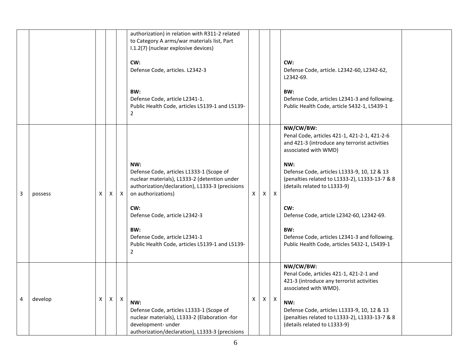|   |         |    |    |                           | authorization) in relation with R311-2 related<br>to Category A arms/war materials list, Part<br>I.1.2(7) (nuclear explosive devices)<br>CW:<br>Defense Code, articles. L2342-3<br>BW:<br>Defense Code, article L2341-1.<br>Public Health Code, articles L5139-1 and L5139-<br>2                                              |    |              |              | CW:<br>Defense Code, article. L2342-60, L2342-62,<br>L2342-69.<br>BW:<br>Defense Code, articles L2341-3 and following.<br>Public Health Code, article 5432-1, L5439-1                                                                                                                                                                                                                                                                  |
|---|---------|----|----|---------------------------|-------------------------------------------------------------------------------------------------------------------------------------------------------------------------------------------------------------------------------------------------------------------------------------------------------------------------------|----|--------------|--------------|----------------------------------------------------------------------------------------------------------------------------------------------------------------------------------------------------------------------------------------------------------------------------------------------------------------------------------------------------------------------------------------------------------------------------------------|
| 3 | possess | X. | X. | $\boldsymbol{\mathsf{X}}$ | NW:<br>Defense Code, articles L1333-1 (Scope of<br>nuclear materials), L1333-2 (detention under<br>authorization/declaration), L1333-3 (precisions<br>on authorizations)<br>CW:<br>Defense Code, article L2342-3<br>BW:<br>Defense Code, article L2341-1<br>Public Health Code, articles L5139-1 and L5139-<br>$\overline{2}$ | X. | X            | $\mathsf{X}$ | NW/CW/BW:<br>Penal Code, articles 421-1, 421-2-1, 421-2-6<br>and 421-3 (introduce any terrorist activities<br>associated with WMD)<br>NW:<br>Defense Code, articles L1333-9, 10, 12 & 13<br>(penalties related to L1333-2), L1333-13-7 & 8<br>(details related to L1333-9)<br>CW:<br>Defense Code, article L2342-60, L2342-69.<br>BW:<br>Defense Code, articles L2341-3 and following.<br>Public Health Code, articles 5432-1, L5439-1 |
| 4 | develop | X. | X. | $\mathsf{X}$              | NW:<br>Defense Code, articles L1333-1 (Scope of<br>nuclear materials), L1333-2 (Elaboration -for<br>development- under<br>authorization/declaration), L1333-3 (precisions                                                                                                                                                     | X  | $\mathsf{X}$ | $\mathsf{X}$ | NW/CW/BW:<br>Penal Code, articles 421-1, 421-2-1 and<br>421-3 (introduce any terrorist activities<br>associated with WMD).<br>NW:<br>Defense Code, articles L1333-9, 10, 12 & 13<br>(penalties related to L1333-2), L1333-13-7 & 8<br>(details related to L1333-9)                                                                                                                                                                     |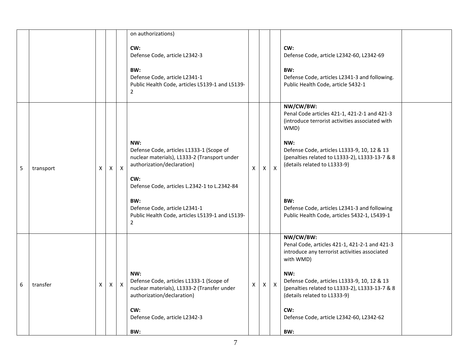|   |           |    |              |              | on authorizations)                                                                                                                                                                                                                                                                                |                |    |                           |                                                                                                                                                                                                                                                                                                                                                                     |  |
|---|-----------|----|--------------|--------------|---------------------------------------------------------------------------------------------------------------------------------------------------------------------------------------------------------------------------------------------------------------------------------------------------|----------------|----|---------------------------|---------------------------------------------------------------------------------------------------------------------------------------------------------------------------------------------------------------------------------------------------------------------------------------------------------------------------------------------------------------------|--|
|   |           |    |              |              | CW:<br>Defense Code, article L2342-3<br>BW:<br>Defense Code, article L2341-1<br>Public Health Code, articles L5139-1 and L5139-<br>$\overline{2}$                                                                                                                                                 |                |    |                           | CW:<br>Defense Code, article L2342-60, L2342-69<br>BW:<br>Defense Code, articles L2341-3 and following.<br>Public Health Code, article 5432-1                                                                                                                                                                                                                       |  |
| 5 | transport | X  | X            | X            | NW:<br>Defense Code, articles L1333-1 (Scope of<br>nuclear materials), L1333-2 (Transport under<br>authorization/declaration)<br>CW:<br>Defense Code, articles L.2342-1 to L.2342-84<br>BW:<br>Defense Code, article L2341-1<br>Public Health Code, articles L5139-1 and L5139-<br>$\overline{2}$ | X              | X  | $\boldsymbol{\mathsf{X}}$ | NW/CW/BW:<br>Penal Code articles 421-1, 421-2-1 and 421-3<br>(introduce terrorist activities associated with<br>WMD)<br>NW:<br>Defense Code, articles L1333-9, 10, 12 & 13<br>(penalties related to L1333-2), L1333-13-7 & 8<br>(details related to L1333-9)<br>BW:<br>Defense Code, articles L2341-3 and following<br>Public Health Code, articles 5432-1, L5439-1 |  |
| 6 | transfer  | X. | $\mathsf{X}$ | $\mathsf{X}$ | NW:<br>Defense Code, articles L1333-1 (Scope of<br>nuclear materials), L1333-2 (Transfer under<br>authorization/declaration)<br>CW:<br>Defense Code, article L2342-3<br>BW:                                                                                                                       | $\pmb{\times}$ | X. | $\mathsf{X}$              | NW/CW/BW:<br>Penal Code, articles 421-1, 421-2-1 and 421-3<br>introduce any terrorist activities associated<br>with WMD)<br>NW:<br>Defense Code, articles L1333-9, 10, 12 & 13<br>(penalties related to L1333-2), L1333-13-7 & 8<br>(details related to L1333-9)<br>CW:<br>Defense Code, article L2342-60, L2342-62<br>BW:                                          |  |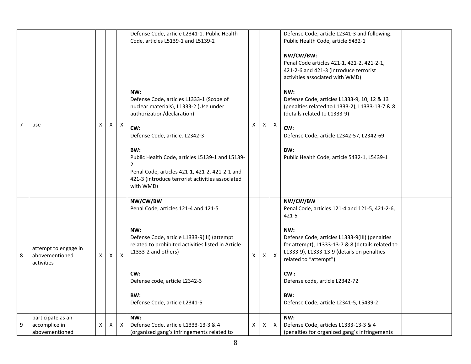|                |                                                      |    |            |              | Defense Code, article L2341-1. Public Health<br>Code, articles L5139-1 and L5139-2                                                                                                                                                                                                                                                                              |                |    |                  | Defense Code, article L2341-3 and following.<br>Public Health Code, article 5432-1                                                                                                                                                                                                                                                                                                    |  |
|----------------|------------------------------------------------------|----|------------|--------------|-----------------------------------------------------------------------------------------------------------------------------------------------------------------------------------------------------------------------------------------------------------------------------------------------------------------------------------------------------------------|----------------|----|------------------|---------------------------------------------------------------------------------------------------------------------------------------------------------------------------------------------------------------------------------------------------------------------------------------------------------------------------------------------------------------------------------------|--|
| $\overline{7}$ | use                                                  | X  | X          | $\mathsf{X}$ | NW:<br>Defense Code, articles L1333-1 (Scope of<br>nuclear materials), L1333-2 (Use under<br>authorization/declaration)<br>CW:<br>Defense Code, article. L2342-3<br>BW:<br>Public Health Code, articles L5139-1 and L5139-<br>$\overline{2}$<br>Penal Code, articles 421-1, 421-2, 421-2-1 and<br>421-3 (introduce terrorist activities associated<br>with WMD) | X              | X. | $\boldsymbol{X}$ | NW/CW/BW:<br>Penal Code articles 421-1, 421-2, 421-2-1,<br>421-2-6 and 421-3 (introduce terrorist<br>activities associated with WMD)<br>NW:<br>Defense Code, articles L1333-9, 10, 12 & 13<br>(penalties related to L1333-2), L1333-13-7 & 8<br>(details related to L1333-9)<br>CW:<br>Defense Code, article L2342-57, L2342-69<br>BW:<br>Public Health Code, article 5432-1, L5439-1 |  |
| 8              | attempt to engage in<br>abovementioned<br>activities | X. | $\times$ 1 | $\mathsf{x}$ | NW/CW/BW<br>Penal Code, articles 121-4 and 121-5<br>NW:<br>Defense Code, article L1333-9(III) (attempt<br>related to prohibited activities listed in Article<br>L1333-2 and others)<br>CW:<br>Defense code, article L2342-3<br>BW:<br>Defense Code, article L2341-5                                                                                             | $\mathsf{x}$   | X. | $\mathsf{X}$     | NW/CW/BW<br>Penal Code, articles 121-4 and 121-5, 421-2-6,<br>$421 - 5$<br>NW:<br>Defense Code, articles L1333-9(III) (penalties<br>for attempt), L1333-13-7 & 8 (details related to<br>L1333-9), L1333-13-9 (details on penalties<br>related to "attempt")<br>CW:<br>Defense code, article L2342-72<br>BW:<br>Defense Code, article L2341-5, L5439-2                                 |  |
| 9              | participate as an<br>accomplice in<br>abovementioned | X  | X          | $\mathsf{X}$ | NW:<br>Defense Code, article L1333-13-3 & 4<br>(organized gang's infringements related to                                                                                                                                                                                                                                                                       | $\pmb{\times}$ | X  | X                | NW:<br>Defense Code, articles L1333-13-3 & 4<br>(penalties for organized gang's infringements                                                                                                                                                                                                                                                                                         |  |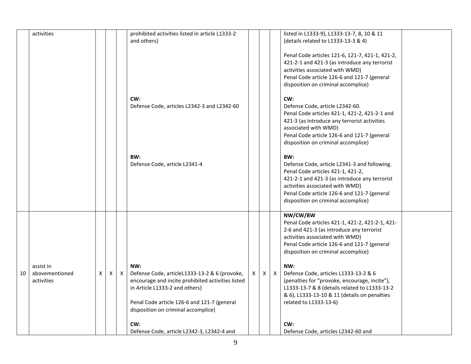|    | activities                                |   |              |          | prohibited activities listed in article L1333-2<br>and others)                                                                                                                                                                    |          |   |              | listed in L1333-9), L1333-13-7, 8, 10 & 11<br>(details related to L1333-13-3 & 4)<br>Penal Code articles 121-6, 121-7, 421-1, 421-2,<br>421-2-1 and 421-3 (as introduce any terrorist<br>activities associated with WMD)<br>Penal Code article 126-6 and 121-7 (general<br>disposition on criminal accomplice) |  |
|----|-------------------------------------------|---|--------------|----------|-----------------------------------------------------------------------------------------------------------------------------------------------------------------------------------------------------------------------------------|----------|---|--------------|----------------------------------------------------------------------------------------------------------------------------------------------------------------------------------------------------------------------------------------------------------------------------------------------------------------|--|
|    |                                           |   |              |          | CW:<br>Defense Code, articles L2342-3 and L2342-60                                                                                                                                                                                |          |   |              | CW:<br>Defense Code, article L2342-60.<br>Penal Code articles 421-1, 421-2, 421-2-1 and<br>421-3 (as introduce any terrorist activities<br>associated with WMD)<br>Penal Code article 126-6 and 121-7 (general<br>disposition on criminal accomplice)                                                          |  |
|    |                                           |   |              |          | BW:<br>Defense Code, article L2341-4                                                                                                                                                                                              |          |   |              | BW:<br>Defense Code, article L2341-3 and following.<br>Penal Code articles 421-1, 421-2,<br>421-2-1 and 421-3 (as introduce any terrorist<br>activities associated with WMD)<br>Penal Code article 126-6 and 121-7 (general<br>disposition on criminal accomplice)                                             |  |
|    |                                           |   |              |          |                                                                                                                                                                                                                                   |          |   |              | NW/CW/BW<br>Penal Code articles 421-1, 421-2, 421-2-1, 421-<br>2-6 and 421-3 (as introduce any terrorist<br>activities associated with WMD)<br>Penal Code article 126-6 and 121-7 (general<br>disposition on criminal accomplice)                                                                              |  |
| 10 | assist in<br>abovementioned<br>activities | X | $\mathsf{x}$ | $\times$ | NW:<br>Defense Code, articleL1333-13-2 & 6 (provoke,<br>encourage and incite prohibited activities listed<br>in Article L1333-2 and others)<br>Penal Code article 126-6 and 121-7 (general<br>disposition on criminal accomplice) | $\times$ | X | $\mathsf{X}$ | NW:<br>Defense Code, articles L1333-13-2 & 6<br>(penalties for "provoke, encourage, incite"),<br>L1333-13-7 & 8 (details related to L1333-13-2<br>& 6), L1333-13-10 & 11 (details on penalties<br>related to L1333-13-6)                                                                                       |  |
|    |                                           |   |              |          | CW:<br>Defense Code, article L2342-3, L2342-4 and                                                                                                                                                                                 |          |   |              | CW:<br>Defense Code, articles L2342-60 and                                                                                                                                                                                                                                                                     |  |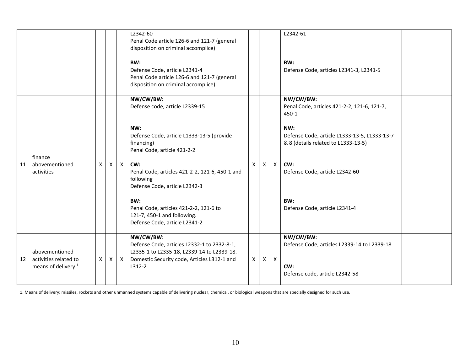|    |                                         |              |   |              | L2342-60<br>Penal Code article 126-6 and 121-7 (general<br>disposition on criminal accomplice)<br>BW:<br>Defense Code, article L2341-4<br>Penal Code article 126-6 and 121-7 (general<br>disposition on criminal accomplice) |          |              |                           | L2342-61<br>BW:<br>Defense Code, articles L2341-3, L2341-5                                 |
|----|-----------------------------------------|--------------|---|--------------|------------------------------------------------------------------------------------------------------------------------------------------------------------------------------------------------------------------------------|----------|--------------|---------------------------|--------------------------------------------------------------------------------------------|
|    |                                         |              |   |              | NW/CW/BW:<br>Defense code, article L2339-15                                                                                                                                                                                  |          |              |                           | NW/CW/BW:<br>Penal Code, articles 421-2-2, 121-6, 121-7,<br>450-1                          |
|    | finance                                 |              |   |              | NW:<br>Defense Code, article L1333-13-5 (provide<br>financing)<br>Penal Code, article 421-2-2                                                                                                                                |          |              |                           | NW:<br>Defense Code, article L1333-13-5, L1333-13-7<br>& 8 (details related to L1333-13-5) |
| 11 | abovementioned<br>activities            | $\times$     | X | $\mathsf{X}$ | CW:<br>Penal Code, articles 421-2-2, 121-6, 450-1 and<br>following<br>Defense Code, article L2342-3                                                                                                                          | X        | $\mathsf{X}$ | $\boldsymbol{\mathsf{X}}$ | CW:<br>Defense Code, article L2342-60                                                      |
|    |                                         |              |   |              | BW:<br>Penal Code, articles 421-2-2, 121-6 to<br>121-7, 450-1 and following.<br>Defense Code, article L2341-2                                                                                                                |          |              |                           | BW:<br>Defense Code, article L2341-4                                                       |
| 12 | abovementioned<br>activities related to | $\mathsf{X}$ | X | $\mathsf{X}$ | NW/CW/BW:<br>Defense Code, articles L2332-1 to 2332-8-1,<br>L2335-1 to L2335-18, L2339-14 to L2339-18.<br>Domestic Security code, Articles L312-1 and                                                                        | $x \mid$ | X            | $\mathsf{X}$              | NW/CW/BW:<br>Defense Code, articles L2339-14 to L2339-18                                   |
|    | means of delivery <sup>1</sup>          |              |   |              | L312-2                                                                                                                                                                                                                       |          |              |                           | CW:<br>Defense code, article L2342-58                                                      |

1. Means of delivery: missiles, rockets and other unmanned systems capable of delivering nuclear, chemical, or biological weapons that are specially designed for such use.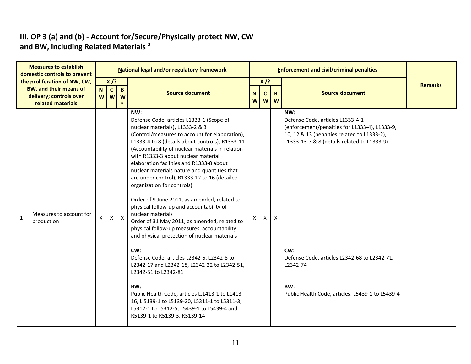#### **III. OP 3 (a) and (b) - Account for/Secure/Physically protect NW, CW and BW, including Related Materials <sup>2</sup>**

| <b>Measures to establish</b><br>domestic controls to prevent                                           |    |                              |                             | National legal and/or regulatory framework                                                                                                                                                                                                                                                                                                                                                                                                                                                                                                                                                                                                                                                                                                                                                                                                                                                                                                                                                                                                         |    |                               |                           | <b>Enforcement and civil/criminal penalties</b>                                                                                                                                                                                                                                                                      |                |
|--------------------------------------------------------------------------------------------------------|----|------------------------------|-----------------------------|----------------------------------------------------------------------------------------------------------------------------------------------------------------------------------------------------------------------------------------------------------------------------------------------------------------------------------------------------------------------------------------------------------------------------------------------------------------------------------------------------------------------------------------------------------------------------------------------------------------------------------------------------------------------------------------------------------------------------------------------------------------------------------------------------------------------------------------------------------------------------------------------------------------------------------------------------------------------------------------------------------------------------------------------------|----|-------------------------------|---------------------------|----------------------------------------------------------------------------------------------------------------------------------------------------------------------------------------------------------------------------------------------------------------------------------------------------------------------|----------------|
| the proliferation of NW, CW,<br>BW, and their means of<br>delivery; controls over<br>related materials | N  | $X$ /?<br>$\mathbf{C}$<br>ww | $\mathbf{B}$<br>W<br>$\ast$ | <b>Source document</b>                                                                                                                                                                                                                                                                                                                                                                                                                                                                                                                                                                                                                                                                                                                                                                                                                                                                                                                                                                                                                             | N. | $X$ /?<br>$\mathsf{C}$<br>www | $\mathbf{B}$              | <b>Source document</b>                                                                                                                                                                                                                                                                                               | <b>Remarks</b> |
| Measures to account for<br>$\mathbf{1}$<br>production                                                  | X. | $\pmb{\mathsf{X}}$           | $\mathsf{X}$                | NW:<br>Defense Code, articles L1333-1 (Scope of<br>nuclear materials), L1333-2 & 3<br>(Control/measures to account for elaboration),<br>L1333-4 to 8 (details about controls), R1333-11<br>(Accountability of nuclear materials in relation<br>with R1333-3 about nuclear material<br>elaboration facilities and R1333-8 about<br>nuclear materials nature and quantities that<br>are under control), R1333-12 to 16 (detailed<br>organization for controls)<br>Order of 9 June 2011, as amended, related to<br>physical follow-up and accountability of<br>nuclear materials<br>Order of 31 May 2011, as amended, related to<br>physical follow-up measures, accountability<br>and physical protection of nuclear materials<br>CW:<br>Defense Code, articles L2342-5, L2342-8 to<br>L2342-17 and L2342-18, L2342-22 to L2342-51,<br>L2342-51 to L2342-81<br>BW:<br>Public Health Code, articles L.1413-1 to L1413-<br>16, L 5139-1 to L5139-20, L5311-1 to L5311-3,<br>L5312-1 to L5312-5, L5439-1 to L5439-4 and<br>R5139-1 to R5139-3, R5139-14 | x  | X                             | $\boldsymbol{\mathsf{x}}$ | NW:<br>Defense Code, articles L1333-4-1<br>(enforcement/penalties for L1333-4), L1333-9,<br>10, 12 & 13 (penalties related to L1333-2),<br>L1333-13-7 & 8 (details related to L1333-9)<br>CW:<br>Defense Code, articles L2342-68 to L2342-71,<br>L2342-74<br>BW:<br>Public Health Code, articles. L5439-1 to L5439-4 |                |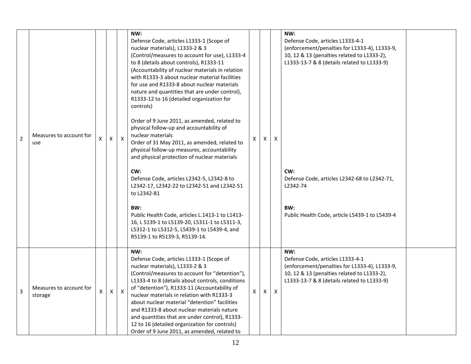| $\overline{2}$ | Measures to account for<br>use     | X | X | $\boldsymbol{\mathsf{X}}$ | NW:<br>Defense Code, articles L1333-1 (Scope of<br>nuclear materials), L1333-2 & 3<br>(Control/measures to account for use), L1333-4<br>to 8 (details about controls), R1333-11<br>(Accountability of nuclear materials in relation<br>with R1333-3 about nuclear material facilities<br>for use and R1333-8 about nuclear materials<br>nature and quantities that are under control),<br>R1333-12 to 16 (detailed organization for<br>controls)<br>Order of 9 June 2011, as amended, related to<br>physical follow-up and accountability of<br>nuclear materials<br>Order of 31 May 2011, as amended, related to<br>physical follow-up measures, accountability<br>and physical protection of nuclear materials<br>CW:<br>Defense Code, articles L2342-5, L2342-8 to<br>L2342-17, L2342-22 to L2342-51 and L2342-51<br>to L2342-81<br>BW:<br>Public Health Code, articles L.1413-1 to L1413-<br>16, L 5139-1 to L5139-20, L5311-1 to L5311-3,<br>L5312-1 to L5312-5, L5439-1 to L5439-4, and<br>R5139-1 to R5139-3, R5139-14. | X            | X | $\times$     | NW:<br>Defense Code, articles L1333-4-1<br>(enforcement/penalties for L1333-4), L1333-9,<br>10, 12 & 13 (penalties related to L1333-2),<br>L1333-13-7 & 8 (details related to L1333-9)<br>CW:<br>Defense Code, articles L2342-68 to L2342-71,<br>L2342-74<br>BW:<br>Public Health Code, article L5439-1 to L5439-4 |  |
|----------------|------------------------------------|---|---|---------------------------|--------------------------------------------------------------------------------------------------------------------------------------------------------------------------------------------------------------------------------------------------------------------------------------------------------------------------------------------------------------------------------------------------------------------------------------------------------------------------------------------------------------------------------------------------------------------------------------------------------------------------------------------------------------------------------------------------------------------------------------------------------------------------------------------------------------------------------------------------------------------------------------------------------------------------------------------------------------------------------------------------------------------------------|--------------|---|--------------|--------------------------------------------------------------------------------------------------------------------------------------------------------------------------------------------------------------------------------------------------------------------------------------------------------------------|--|
| 3              | Measures to account for<br>storage | X | X | $\boldsymbol{X}$          | NW:<br>Defense Code, articles L1333-1 (Scope of<br>nuclear materials), L1333-2 & 3<br>(Control/measures to account for "detention"),<br>L1333-4 to 8 (details about controls, conditions<br>of "detention"), R1333-11 (Accountability of<br>nuclear materials in relation with R1333-3<br>about nuclear material "detention" facilities<br>and R1333-8 about nuclear materials nature<br>and quantities that are under control), R1333-<br>12 to 16 (detailed organization for controls)<br>Order of 9 June 2011, as amended, related to                                                                                                                                                                                                                                                                                                                                                                                                                                                                                       | $\mathsf{X}$ | X | $\mathsf{X}$ | NW:<br>Defense Code, articles L1333-4-1<br>(enforcement/penalties for L1333-4), L1333-9,<br>10, 12 & 13 (penalties related to L1333-2),<br>L1333-13-7 & 8 (details related to L1333-9)                                                                                                                             |  |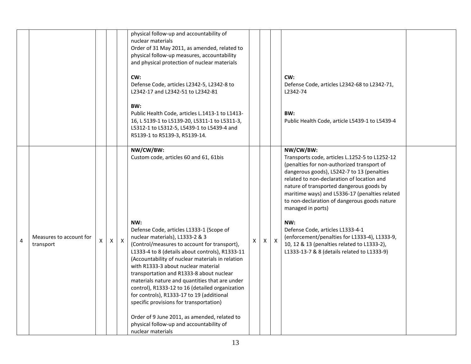|   |                                      |   |              |              | physical follow-up and accountability of<br>nuclear materials<br>Order of 31 May 2011, as amended, related to<br>physical follow-up measures, accountability<br>and physical protection of nuclear materials<br>CW:<br>Defense Code, articles L2342-5, L2342-8 to<br>L2342-17 and L2342-51 to L2342-81<br>BW:<br>Public Health Code, articles L.1413-1 to L1413-<br>16, L 5139-1 to L5139-20, L5311-1 to L5311-3,<br>L5312-1 to L5312-5, L5439-1 to L5439-4 and<br>R5139-1 to R5139-3, R5139-14.                                                                                                                                                                                                  |   |              |              | CW:<br>Defense Code, articles L2342-68 to L2342-71,<br>L2342-74<br>BW:<br>Public Health Code, article L5439-1 to L5439-4                                                                                                                                                                                                                                                                                                                                                                                                                                           |  |
|---|--------------------------------------|---|--------------|--------------|---------------------------------------------------------------------------------------------------------------------------------------------------------------------------------------------------------------------------------------------------------------------------------------------------------------------------------------------------------------------------------------------------------------------------------------------------------------------------------------------------------------------------------------------------------------------------------------------------------------------------------------------------------------------------------------------------|---|--------------|--------------|--------------------------------------------------------------------------------------------------------------------------------------------------------------------------------------------------------------------------------------------------------------------------------------------------------------------------------------------------------------------------------------------------------------------------------------------------------------------------------------------------------------------------------------------------------------------|--|
| 4 | Measures to account for<br>transport | X | $\mathsf{X}$ | $\mathsf{X}$ | NW/CW/BW:<br>Custom code, articles 60 and 61, 61bis<br>NW:<br>Defense Code, articles L1333-1 (Scope of<br>nuclear materials), L1333-2 & 3<br>(Control/measures to account for transport),<br>L1333-4 to 8 (details about controls), R1333-11<br>(Accountability of nuclear materials in relation<br>with R1333-3 about nuclear material<br>transportation and R1333-8 about nuclear<br>materials nature and quantities that are under<br>control), R1333-12 to 16 (detailed organization<br>for controls), R1333-17 to 19 (additional<br>specific provisions for transportation)<br>Order of 9 June 2011, as amended, related to<br>physical follow-up and accountability of<br>nuclear materials | X | $\mathsf{X}$ | $\mathsf{X}$ | NW/CW/BW:<br>Transports code, articles L.1252-5 to L1252-12<br>(penalties for non-authorized transport of<br>dangerous goods), L5242-7 to 13 (penalties<br>related to non-declaration of location and<br>nature of transported dangerous goods by<br>maritime ways) and L5336-17 (penalties related<br>to non-declaration of dangerous goods nature<br>managed in ports)<br>NW:<br>Defense Code, articles L1333-4-1<br>(enforcement/penalties for L1333-4), L1333-9,<br>10, 12 & 13 (penalties related to L1333-2),<br>L1333-13-7 & 8 (details related to L1333-9) |  |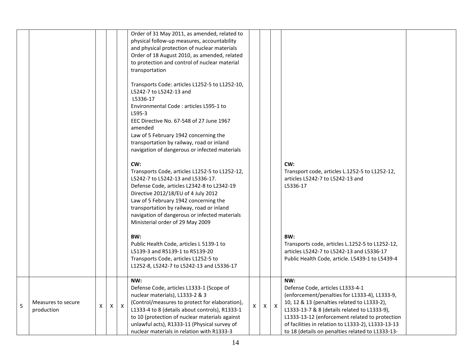|   |                                  |   |              |              | Order of 31 May 2011, as amended, related to<br>physical follow-up measures, accountability<br>and physical protection of nuclear materials<br>Order of 18 August 2010, as amended, related<br>to protection and control of nuclear material<br>transportation<br>Transports Code: articles L1252-5 to L1252-10,<br>L5242-7 to L5242-13 and<br>L5336-17<br>Environmental Code: articles L595-1 to<br>$L595-3$<br>EEC Directive No. 67-548 of 27 June 1967<br>amended<br>Law of 5 February 1942 concerning the<br>transportation by railway, road or inland<br>navigation of dangerous or infected materials<br>CW:<br>Transports Code, articles L1252-5 to L1252-12,<br>L5242-7 to L5242-13 and L5336-17.<br>Defense Code, articles L2342-8 to L2342-19<br>Directive 2012/18/EU of 4 July 2012<br>Law of 5 February 1942 concerning the<br>transportation by railway, road or inland<br>navigation of dangerous or infected materials<br>Ministerial order of 29 May 2009<br>BW:<br>Public Health Code, articles L 5139-1 to<br>L5139-3 and R5139-1 to R5139-20<br>Transports Code, articles L1252-5 to<br>L1252-8, L5242-7 to L5242-13 and L5336-17 |    |              |              | CW:<br>Transport code, articles L.1252-5 to L1252-12,<br>articles L5242-7 to L5242-13 and<br>L5336-17<br>BW:<br>Transports code, articles L.1252-5 to L1252-12,<br>articles L5242-7 to L5242-13 and L5336-17<br>Public Health Code, article. L5439-1 to L5439-4                                                                                     |  |
|---|----------------------------------|---|--------------|--------------|------------------------------------------------------------------------------------------------------------------------------------------------------------------------------------------------------------------------------------------------------------------------------------------------------------------------------------------------------------------------------------------------------------------------------------------------------------------------------------------------------------------------------------------------------------------------------------------------------------------------------------------------------------------------------------------------------------------------------------------------------------------------------------------------------------------------------------------------------------------------------------------------------------------------------------------------------------------------------------------------------------------------------------------------------------------------------------------------------------------------------------------------------|----|--------------|--------------|-----------------------------------------------------------------------------------------------------------------------------------------------------------------------------------------------------------------------------------------------------------------------------------------------------------------------------------------------------|--|
| 5 | Measures to secure<br>production | X | $\mathsf{X}$ | $\mathsf{X}$ | NW:<br>Defense Code, articles L1333-1 (Scope of<br>nuclear materials), L1333-2 & 3<br>(Control/measures to protect for elaboration),<br>L1333-4 to 8 (details about controls), R1333-1<br>to 10 (protection of nuclear materials against<br>unlawful acts), R1333-11 (Physical survey of<br>nuclear materials in relation with R1333-3                                                                                                                                                                                                                                                                                                                                                                                                                                                                                                                                                                                                                                                                                                                                                                                                               | X. | $\mathsf{X}$ | $\mathsf{X}$ | NW:<br>Defense Code, articles L1333-4-1<br>(enforcement/penalties for L1333-4), L1333-9,<br>10, 12 & 13 (penalties related to L1333-2),<br>L1333-13-7 & 8 (details related to L1333-9),<br>L1333-13-12 (enforcement related to protection<br>of facilities in relation to L1333-2), L1333-13-13<br>to 18 (details on penalties related to L1333-13- |  |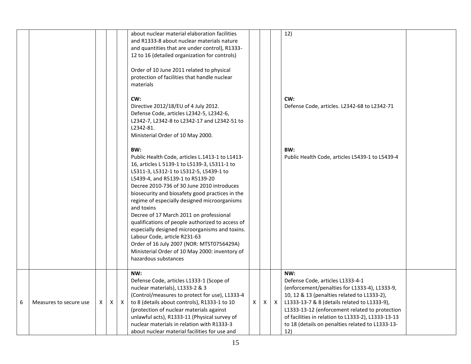|   |                        |   |   |          | about nuclear material elaboration facilities<br>and R1333-8 about nuclear materials nature<br>and quantities that are under control), R1333-<br>12 to 16 (detailed organization for controls)<br>Order of 10 June 2011 related to physical<br>protection of facilities that handle nuclear<br>materials                                                                                                                                                                                                                                                                                                                                                     |   |   |   | 12)                                                                                                                                                                                                                                                                                                                                                        |  |
|---|------------------------|---|---|----------|--------------------------------------------------------------------------------------------------------------------------------------------------------------------------------------------------------------------------------------------------------------------------------------------------------------------------------------------------------------------------------------------------------------------------------------------------------------------------------------------------------------------------------------------------------------------------------------------------------------------------------------------------------------|---|---|---|------------------------------------------------------------------------------------------------------------------------------------------------------------------------------------------------------------------------------------------------------------------------------------------------------------------------------------------------------------|--|
|   |                        |   |   |          | CW:<br>Directive 2012/18/EU of 4 July 2012.<br>Defense Code, articles L2342-5, L2342-6,<br>L2342-7, L2342-8 to L2342-17 and L2342-51 to<br>L2342-81.<br>Ministerial Order of 10 May 2000.                                                                                                                                                                                                                                                                                                                                                                                                                                                                    |   |   |   | CW:<br>Defense Code, articles. L2342-68 to L2342-71                                                                                                                                                                                                                                                                                                        |  |
|   |                        |   |   |          | BW:<br>Public Health Code, articles L.1413-1 to L1413-<br>16, articles L 5139-1 to L5139-3, L5311-1 to<br>L5311-3, L5312-1 to L5312-5, L5439-1 to<br>L5439-4, and R5139-1 to R5139-20<br>Decree 2010-736 of 30 June 2010 introduces<br>biosecurity and biosafety good practices in the<br>regime of especially designed microorganisms<br>and toxins<br>Decree of 17 March 2011 on professional<br>qualifications of people authorized to access of<br>especially designed microorganisms and toxins.<br>Labour Code, article R231-63<br>Order of 16 July 2007 (NOR: MTST0756429A)<br>Ministerial Order of 10 May 2000: inventory of<br>hazardous substances |   |   |   | BW:<br>Public Health Code, articles L5439-1 to L5439-4                                                                                                                                                                                                                                                                                                     |  |
| 6 | Measures to secure use | x | X | $\times$ | NW:<br>Defense Code, articles L1333-1 (Scope of<br>nuclear materials), L1333-2 & 3<br>(Control/measures to protect for use), L1333-4<br>to 8 (details about controls), R1333-1 to 10<br>(protection of nuclear materials against<br>unlawful acts), R1333-11 (Physical survey of<br>nuclear materials in relation with R1333-3<br>about nuclear material facilities for use and                                                                                                                                                                                                                                                                              | X | X | X | NW:<br>Defense Code, articles L1333-4-1<br>(enforcement/penalties for L1333-4), L1333-9,<br>10, 12 & 13 (penalties related to L1333-2),<br>L1333-13-7 & 8 (details related to L1333-9),<br>L1333-13-12 (enforcement related to protection<br>of facilities in relation to L1333-2), L1333-13-13<br>to 18 (details on penalties related to L1333-13-<br>12) |  |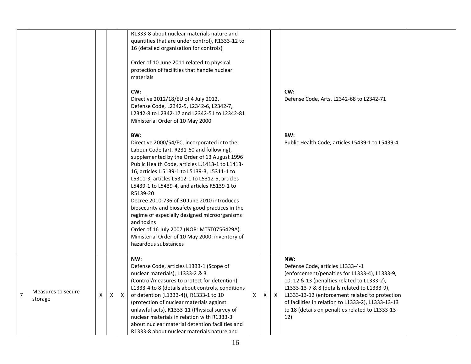|                |                               |   |              |          | R1333-8 about nuclear materials nature and<br>quantities that are under control), R1333-12 to<br>16 (detailed organization for controls)<br>Order of 10 June 2011 related to physical<br>protection of facilities that handle nuclear<br>materials                                                                                                                                                                                                                                                                                                                                                                                                    |   |              |              |                                                                                                                                                                                                                                                                                                                                                            |  |
|----------------|-------------------------------|---|--------------|----------|-------------------------------------------------------------------------------------------------------------------------------------------------------------------------------------------------------------------------------------------------------------------------------------------------------------------------------------------------------------------------------------------------------------------------------------------------------------------------------------------------------------------------------------------------------------------------------------------------------------------------------------------------------|---|--------------|--------------|------------------------------------------------------------------------------------------------------------------------------------------------------------------------------------------------------------------------------------------------------------------------------------------------------------------------------------------------------------|--|
|                |                               |   |              |          | CW:<br>Directive 2012/18/EU of 4 July 2012.<br>Defense Code, L2342-5, L2342-6, L2342-7,<br>L2342-8 to L2342-17 and L2342-51 to L2342-81<br>Ministerial Order of 10 May 2000                                                                                                                                                                                                                                                                                                                                                                                                                                                                           |   |              |              | CW:<br>Defense Code, Arts. L2342-68 to L2342-71                                                                                                                                                                                                                                                                                                            |  |
|                |                               |   |              |          | BW:<br>Directive 2000/54/EC, incorporated into the<br>Labour Code (art. R231-60 and following),<br>supplemented by the Order of 13 August 1996<br>Public Health Code, articles L.1413-1 to L1413-<br>16, articles L 5139-1 to L5139-3, L5311-1 to<br>L5311-3, articles L5312-1 to L5312-5, articles<br>L5439-1 to L5439-4, and articles R5139-1 to<br>R5139-20<br>Decree 2010-736 of 30 June 2010 introduces<br>biosecurity and biosafety good practices in the<br>regime of especially designed microorganisms<br>and toxins<br>Order of 16 July 2007 (NOR: MTST0756429A).<br>Ministerial Order of 10 May 2000: inventory of<br>hazardous substances |   |              |              | BW:<br>Public Health Code, articles L5439-1 to L5439-4                                                                                                                                                                                                                                                                                                     |  |
| $\overline{7}$ | Measures to secure<br>storage | X | $\mathsf{X}$ | $\times$ | NW:<br>Defense Code, articles L1333-1 (Scope of<br>nuclear materials), L1333-2 & 3<br>(Control/measures to protect for detention),<br>L1333-4 to 8 (details about controls, conditions<br>of detention (L1333-4)), R1333-1 to 10<br>(protection of nuclear materials against<br>unlawful acts), R1333-11 (Physical survey of<br>nuclear materials in relation with R1333-3<br>about nuclear material detention facilities and<br>R1333-8 about nuclear materials nature and                                                                                                                                                                           | X | $\mathsf{X}$ | $\mathsf{X}$ | NW:<br>Defense Code, articles L1333-4-1<br>(enforcement/penalties for L1333-4), L1333-9,<br>10, 12 & 13 (penalties related to L1333-2),<br>L1333-13-7 & 8 (details related to L1333-9),<br>L1333-13-12 (enforcement related to protection<br>of facilities in relation to L1333-2), L1333-13-13<br>to 18 (details on penalties related to L1333-13-<br>12) |  |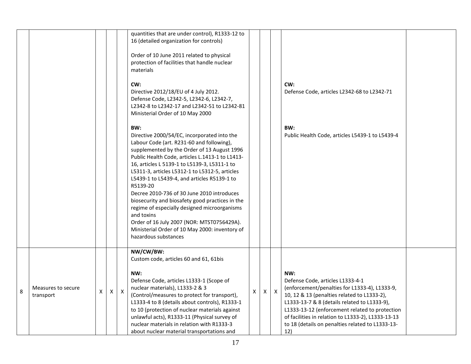|   |                                 |   |                    |              | quantities that are under control), R1333-12 to<br>16 (detailed organization for controls)                                                                                                                                                                                                                                                                                                                                                                                                                                                                                                                                                            |   |              |              |                                                                                                                                                                                                                                                                                                                                                            |  |
|---|---------------------------------|---|--------------------|--------------|-------------------------------------------------------------------------------------------------------------------------------------------------------------------------------------------------------------------------------------------------------------------------------------------------------------------------------------------------------------------------------------------------------------------------------------------------------------------------------------------------------------------------------------------------------------------------------------------------------------------------------------------------------|---|--------------|--------------|------------------------------------------------------------------------------------------------------------------------------------------------------------------------------------------------------------------------------------------------------------------------------------------------------------------------------------------------------------|--|
|   |                                 |   |                    |              | Order of 10 June 2011 related to physical<br>protection of facilities that handle nuclear<br>materials                                                                                                                                                                                                                                                                                                                                                                                                                                                                                                                                                |   |              |              |                                                                                                                                                                                                                                                                                                                                                            |  |
|   |                                 |   |                    |              | CW:<br>Directive 2012/18/EU of 4 July 2012.<br>Defense Code, L2342-5, L2342-6, L2342-7,<br>L2342-8 to L2342-17 and L2342-51 to L2342-81<br>Ministerial Order of 10 May 2000                                                                                                                                                                                                                                                                                                                                                                                                                                                                           |   |              |              | CW:<br>Defense Code, articles L2342-68 to L2342-71                                                                                                                                                                                                                                                                                                         |  |
|   |                                 |   |                    |              | BW:<br>Directive 2000/54/EC, incorporated into the<br>Labour Code (art. R231-60 and following),<br>supplemented by the Order of 13 August 1996<br>Public Health Code, articles L.1413-1 to L1413-<br>16, articles L 5139-1 to L5139-3, L5311-1 to<br>L5311-3, articles L5312-1 to L5312-5, articles<br>L5439-1 to L5439-4, and articles R5139-1 to<br>R5139-20<br>Decree 2010-736 of 30 June 2010 introduces<br>biosecurity and biosafety good practices in the<br>regime of especially designed microorganisms<br>and toxins<br>Order of 16 July 2007 (NOR: MTST0756429A).<br>Ministerial Order of 10 May 2000: inventory of<br>hazardous substances |   |              |              | BW:<br>Public Health Code, articles L5439-1 to L5439-4                                                                                                                                                                                                                                                                                                     |  |
| 8 | Measures to secure<br>transport | X | $\pmb{\mathsf{X}}$ | $\mathsf{X}$ | NW/CW/BW:<br>Custom code, articles 60 and 61, 61bis<br>NW:<br>Defense Code, articles L1333-1 (Scope of<br>nuclear materials), L1333-2 & 3<br>(Control/measures to protect for transport),<br>L1333-4 to 8 (details about controls), R1333-1<br>to 10 (protection of nuclear materials against<br>unlawful acts), R1333-11 (Physical survey of<br>nuclear materials in relation with R1333-3<br>about nuclear material transportations and                                                                                                                                                                                                             | X | $\mathsf{X}$ | $\mathsf{X}$ | NW:<br>Defense Code, articles L1333-4-1<br>(enforcement/penalties for L1333-4), L1333-9,<br>10, 12 & 13 (penalties related to L1333-2),<br>L1333-13-7 & 8 (details related to L1333-9),<br>L1333-13-12 (enforcement related to protection<br>of facilities in relation to L1333-2), L1333-13-13<br>to 18 (details on penalties related to L1333-13-<br>12) |  |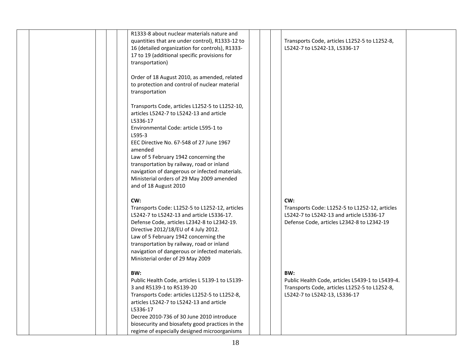| R1333-8 about nuclear materials nature and<br>quantities that are under control), R1333-12 to<br>16 (detailed organization for controls), R1333-<br>17 to 19 (additional specific provisions for<br>transportation)                                                                                                                                                                                                            | Transports Code, articles L1252-5 to L1252-8,<br>L5242-7 to L5242-13, L5336-17                                                                  |
|--------------------------------------------------------------------------------------------------------------------------------------------------------------------------------------------------------------------------------------------------------------------------------------------------------------------------------------------------------------------------------------------------------------------------------|-------------------------------------------------------------------------------------------------------------------------------------------------|
| Order of 18 August 2010, as amended, related<br>to protection and control of nuclear material<br>transportation                                                                                                                                                                                                                                                                                                                |                                                                                                                                                 |
| Transports Code, articles L1252-5 to L1252-10,<br>articles L5242-7 to L5242-13 and article<br>L5336-17<br>Environmental Code: article L595-1 to<br>L595-3<br>EEC Directive No. 67-548 of 27 June 1967<br>amended<br>Law of 5 February 1942 concerning the<br>transportation by railway, road or inland<br>navigation of dangerous or infected materials.<br>Ministerial orders of 29 May 2009 amended<br>and of 18 August 2010 |                                                                                                                                                 |
| CW:<br>Transports Code: L1252-5 to L1252-12, articles<br>L5242-7 to L5242-13 and article L5336-17.<br>Defense Code, articles L2342-8 to L2342-19.<br>Directive 2012/18/EU of 4 July 2012.<br>Law of 5 February 1942 concerning the<br>transportation by railway, road or inland<br>navigation of dangerous or infected materials.<br>Ministerial order of 29 May 2009                                                          | CW:<br>Transports Code: L1252-5 to L1252-12, articles<br>L5242-7 to L5242-13 and article L5336-17<br>Defense Code, articles L2342-8 to L2342-19 |
| BW:<br>Public Health Code, articles L 5139-1 to L5139-<br>3 and R5139-1 to R5139-20<br>Transports Code: articles L1252-5 to L1252-8,<br>articles L5242-7 to L5242-13 and article<br>L5336-17<br>Decree 2010-736 of 30 June 2010 introduce<br>biosecurity and biosafety good practices in the<br>regime of especially designed microorganisms                                                                                   | BW:<br>Public Health Code, articles L5439-1 to L5439-4.<br>Transports Code, articles L1252-5 to L1252-8,<br>L5242-7 to L5242-13, L5336-17       |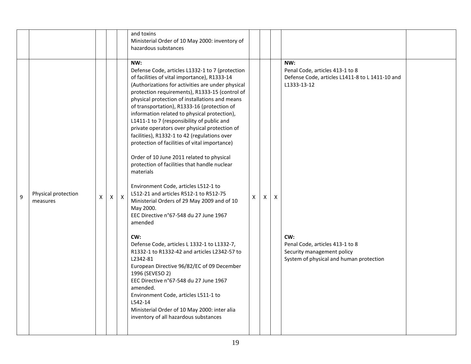|                                                                                                                                                                                                                                                                                                                                                                                                                                                                                                                                                                                                                                                                                                                                                                                                                                                                                                                                                                                                                                                                                                                                                                                                                                                                                                                                                                                                                                                                                                                                                                                      |  |  | and toxins<br>Ministerial Order of 10 May 2000: inventory of<br>hazardous substances |  |     |  |
|--------------------------------------------------------------------------------------------------------------------------------------------------------------------------------------------------------------------------------------------------------------------------------------------------------------------------------------------------------------------------------------------------------------------------------------------------------------------------------------------------------------------------------------------------------------------------------------------------------------------------------------------------------------------------------------------------------------------------------------------------------------------------------------------------------------------------------------------------------------------------------------------------------------------------------------------------------------------------------------------------------------------------------------------------------------------------------------------------------------------------------------------------------------------------------------------------------------------------------------------------------------------------------------------------------------------------------------------------------------------------------------------------------------------------------------------------------------------------------------------------------------------------------------------------------------------------------------|--|--|--------------------------------------------------------------------------------------|--|-----|--|
| Defense Code, articles L1332-1 to 7 (protection<br>Penal Code, articles 413-1 to 8<br>of facilities of vital importance), R1333-14<br>Defense Code, articles L1411-8 to L 1411-10 and<br>(Authorizations for activities are under physical<br>L1333-13-12<br>protection requirements), R1333-15 (control of<br>physical protection of installations and means<br>of transportation), R1333-16 (protection of<br>information related to physical protection),<br>L1411-1 to 7 (responsibility of public and<br>private operators over physical protection of<br>facilities), R1332-1 to 42 (regulations over<br>protection of facilities of vital importance)<br>Order of 10 June 2011 related to physical<br>protection of facilities that handle nuclear<br>materials<br>Environment Code, articles L512-1 to<br>Physical protection<br>L512-21 and articles R512-1 to R512-75<br>9<br>X<br>X<br>X<br>$\mathsf{X}$<br>$\times$<br>$\mathsf{X}$<br>Ministerial Orders of 29 May 2009 and of 10<br>measures<br>May 2000.<br>EEC Directive n°67-548 du 27 June 1967<br>amended<br>CW:<br>CW:<br>Defense Code, articles L 1332-1 to L1332-7,<br>Penal Code, articles 413-1 to 8<br>Security management policy<br>R1332-1 to R1332-42 and articles L2342-57 to<br>L2342-81<br>System of physical and human protection<br>European Directive 96/82/EC of 09 December<br>1996 (SEVESO 2)<br>EEC Directive n°67-548 du 27 June 1967<br>amended.<br>Environment Code, articles L511-1 to<br>L542-14<br>Ministerial Order of 10 May 2000: inter alia<br>inventory of all hazardous substances |  |  | NW:                                                                                  |  | NW: |  |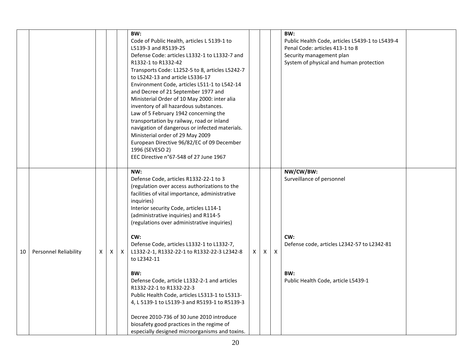|    |                       |   |   |   | BW:                                             |          |              |              | BW:                                             |  |
|----|-----------------------|---|---|---|-------------------------------------------------|----------|--------------|--------------|-------------------------------------------------|--|
|    |                       |   |   |   | Code of Public Health, articles L 5139-1 to     |          |              |              | Public Health Code, articles L5439-1 to L5439-4 |  |
|    |                       |   |   |   | L5139-3 and R5139-25                            |          |              |              | Penal Code: articles 413-1 to 8                 |  |
|    |                       |   |   |   | Defense Code: articles L1332-1 to L1332-7 and   |          |              |              | Security management plan                        |  |
|    |                       |   |   |   | R1332-1 to R1332-42                             |          |              |              | System of physical and human protection         |  |
|    |                       |   |   |   | Transports Code: L1252-5 to 8, articles L5242-7 |          |              |              |                                                 |  |
|    |                       |   |   |   | to L5242-13 and article L5336-17                |          |              |              |                                                 |  |
|    |                       |   |   |   | Environment Code, articles L511-1 to L542-14    |          |              |              |                                                 |  |
|    |                       |   |   |   | and Decree of 21 September 1977 and             |          |              |              |                                                 |  |
|    |                       |   |   |   | Ministerial Order of 10 May 2000: inter alia    |          |              |              |                                                 |  |
|    |                       |   |   |   | inventory of all hazardous substances.          |          |              |              |                                                 |  |
|    |                       |   |   |   | Law of 5 February 1942 concerning the           |          |              |              |                                                 |  |
|    |                       |   |   |   | transportation by railway, road or inland       |          |              |              |                                                 |  |
|    |                       |   |   |   | navigation of dangerous or infected materials.  |          |              |              |                                                 |  |
|    |                       |   |   |   | Ministerial order of 29 May 2009                |          |              |              |                                                 |  |
|    |                       |   |   |   | European Directive 96/82/EC of 09 December      |          |              |              |                                                 |  |
|    |                       |   |   |   | 1996 (SEVESO 2)                                 |          |              |              |                                                 |  |
|    |                       |   |   |   | EEC Directive n°67-548 of 27 June 1967          |          |              |              |                                                 |  |
|    |                       |   |   |   | NW:                                             |          |              |              | NW/CW/BW:                                       |  |
|    |                       |   |   |   | Defense Code, articles R1332-22-1 to 3          |          |              |              | Surveillance of personnel                       |  |
|    |                       |   |   |   | (regulation over access authorizations to the   |          |              |              |                                                 |  |
|    |                       |   |   |   | facilities of vital importance, administrative  |          |              |              |                                                 |  |
|    |                       |   |   |   | inquiries)                                      |          |              |              |                                                 |  |
|    |                       |   |   |   | Interior security Code, articles L114-1         |          |              |              |                                                 |  |
|    |                       |   |   |   | (administrative inquiries) and R114-5           |          |              |              |                                                 |  |
|    |                       |   |   |   | (regulations over administrative inquiries)     |          |              |              |                                                 |  |
|    |                       |   |   |   | CW:                                             |          |              |              | CW:                                             |  |
|    |                       |   |   |   | Defense Code, articles L1332-1 to L1332-7,      |          |              |              | Defense code, articles L2342-57 to L2342-81     |  |
| 10 | Personnel Reliability | X | X | X | L1332-2-1, R1332-22-1 to R1332-22-3 L2342-8     | $\times$ | $\mathsf{X}$ | $\mathsf{X}$ |                                                 |  |
|    |                       |   |   |   | to L2342-11                                     |          |              |              |                                                 |  |
|    |                       |   |   |   | BW:                                             |          |              |              | BW:                                             |  |
|    |                       |   |   |   | Defense Code, article L1332-2-1 and articles    |          |              |              | Public Health Code, article L5439-1             |  |
|    |                       |   |   |   | R1332-22-1 to R1332-22-3                        |          |              |              |                                                 |  |
|    |                       |   |   |   | Public Health Code, articles L5313-1 to L5313-  |          |              |              |                                                 |  |
|    |                       |   |   |   | 4, L 5139-1 to L5139-3 and R5193-1 to R5139-3   |          |              |              |                                                 |  |
|    |                       |   |   |   | Decree 2010-736 of 30 June 2010 introduce       |          |              |              |                                                 |  |
|    |                       |   |   |   | biosafety good practices in the regime of       |          |              |              |                                                 |  |
|    |                       |   |   |   | especially designed microorganisms and toxins.  |          |              |              |                                                 |  |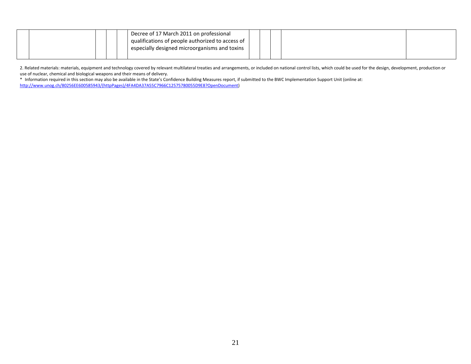|  |  | Decree of 17 March 2011 on professional<br>qualifications of people authorized to access of<br>especially designed microorganisms and toxins |  |  |  |
|--|--|----------------------------------------------------------------------------------------------------------------------------------------------|--|--|--|
|  |  |                                                                                                                                              |  |  |  |

2. Related materials: materials, equipment and technology covered by relevant multilateral treaties and arrangements, or included on national control lists, which could be used for the design, development, production or use of nuclear, chemical and biological weapons and their means of delivery.

\* Information required in this section may also be available in the State's Confidence Building Measures report, if submitted to the BWC Implementation Support Unit (online at: [http://www.unog.ch/80256EE600585943/\(httpPages\)/4FA4DA37A55C7966C12575780055D9E8?OpenDocument\)](http://www.unog.ch/80256EE600585943/(httpPages)/4FA4DA37A55C7966C12575780055D9E8?OpenDocument)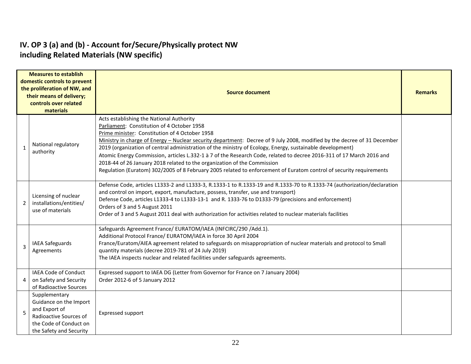#### **IV. OP 3 (a) and (b) - Account for/Secure/Physically protect NW including Related Materials (NW specific)**

|              | <b>Measures to establish</b><br>domestic controls to prevent<br>the proliferation of NW, and<br>their means of delivery;<br>controls over related<br>materials | <b>Source document</b>                                                                                                                                                                                                                                                                                                                                                                                                                                                                                                                                                                                                                                                                                       |  |  |  |  |  |  |
|--------------|----------------------------------------------------------------------------------------------------------------------------------------------------------------|--------------------------------------------------------------------------------------------------------------------------------------------------------------------------------------------------------------------------------------------------------------------------------------------------------------------------------------------------------------------------------------------------------------------------------------------------------------------------------------------------------------------------------------------------------------------------------------------------------------------------------------------------------------------------------------------------------------|--|--|--|--|--|--|
| $\mathbf{1}$ | National regulatory<br>authority                                                                                                                               | Acts establishing the National Authority<br>Parliament: Constitution of 4 October 1958<br>Prime minister: Constitution of 4 October 1958<br>Ministry in charge of Energy - Nuclear security department: Decree of 9 July 2008, modified by the decree of 31 December<br>2019 (organization of central administration of the ministry of Ecology, Energy, sustainable development)<br>Atomic Energy Commission, articles L.332-1 à 7 of the Research Code, related to decree 2016-311 of 17 March 2016 and<br>2018-44 of 26 January 2018 related to the organization of the Commission<br>Regulation (Euratom) 302/2005 of 8 February 2005 related to enforcement of Euratom control of security requirements |  |  |  |  |  |  |
| 2            | Licensing of nuclear<br>installations/entities/<br>use of materials                                                                                            | Defense Code, articles L1333-2 and L1333-3, R.1333-1 to R.1333-19 and R.1333-70 to R.1333-74 (authorization/declaration<br>and control on import, export, manufacture, possess, transfer, use and transport)<br>Defense Code, articles L1333-4 to L1333-13-1 and R. 1333-76 to D1333-79 (precisions and enforcement)<br>Orders of 3 and 5 August 2011<br>Order of 3 and 5 August 2011 deal with authorization for activities related to nuclear materials facilities                                                                                                                                                                                                                                         |  |  |  |  |  |  |
| 3            | IAEA Safeguards<br>Agreements                                                                                                                                  | Safeguards Agreement France/ EURATOM/IAEA (INFCIRC/290 /Add.1).<br>Additional Protocol France/ EURATOM/IAEA in force 30 April 2004<br>France/Euratom/AIEA agreement related to safeguards on misappropriation of nuclear materials and protocol to Small<br>quantity materials (decree 2019-781 of 24 July 2019)<br>The IAEA inspects nuclear and related facilities under safeguards agreements.                                                                                                                                                                                                                                                                                                            |  |  |  |  |  |  |
| 4            | IAEA Code of Conduct<br>on Safety and Security<br>of Radioactive Sources                                                                                       | Expressed support to IAEA DG (Letter from Governor for France on 7 January 2004)<br>Order 2012-6 of 5 January 2012                                                                                                                                                                                                                                                                                                                                                                                                                                                                                                                                                                                           |  |  |  |  |  |  |
| 5            | Supplementary<br>Guidance on the Import<br>and Export of<br>Radioactive Sources of<br>the Code of Conduct on<br>the Safety and Security                        | Expressed support                                                                                                                                                                                                                                                                                                                                                                                                                                                                                                                                                                                                                                                                                            |  |  |  |  |  |  |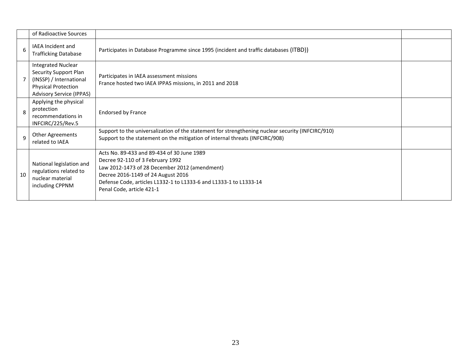|    | of Radioactive Sources                                                                                                                                |                                                                                                                                                                                                                                                                         |  |
|----|-------------------------------------------------------------------------------------------------------------------------------------------------------|-------------------------------------------------------------------------------------------------------------------------------------------------------------------------------------------------------------------------------------------------------------------------|--|
| 6  | <b>IAEA</b> Incident and<br><b>Trafficking Database</b>                                                                                               | Participates in Database Programme since 1995 (incident and traffic databases (ITBD))                                                                                                                                                                                   |  |
|    | <b>Integrated Nuclear</b><br><b>Security Support Plan</b><br>(INSSP) / International<br><b>Physical Protection</b><br><b>Advisory Service (IPPAS)</b> | Participates in IAEA assessment missions<br>France hosted two IAEA IPPAS missions, in 2011 and 2018                                                                                                                                                                     |  |
| 8  | Applying the physical<br>protection<br>recommendations in<br>INFCIRC/225/Rev.5                                                                        | <b>Endorsed by France</b>                                                                                                                                                                                                                                               |  |
| 9  | Other Agreements<br>related to IAEA                                                                                                                   | Support to the universalization of the statement for strengthening nuclear security (INFCIRC/910)<br>Support to the statement on the mitigation of internal threats (INFCIRC/908)                                                                                       |  |
| 10 | National legislation and<br>regulations related to<br>nuclear material<br>including CPPNM                                                             | Acts No. 89-433 and 89-434 of 30 June 1989<br>Decree 92-110 of 3 February 1992<br>Law 2012-1473 of 28 December 2012 (amendment)<br>Decree 2016-1149 of 24 August 2016<br>Defense Code, articles L1332-1 to L1333-6 and L1333-1 to L1333-14<br>Penal Code, article 421-1 |  |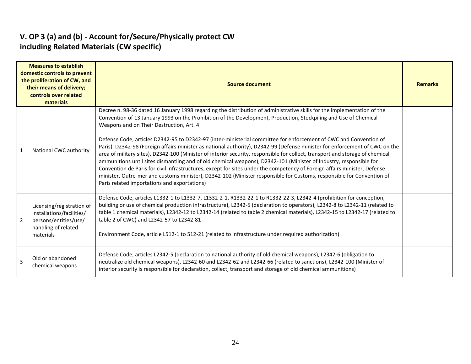#### **V. OP 3 (a) and (b) - Account for/Secure/Physically protect CW including Related Materials (CW specific)**

|              | <b>Measures to establish</b><br>domestic controls to prevent<br>the proliferation of CW, and<br>their means of delivery;<br>controls over related<br>materials | <b>Source document</b>                                                                                                                                                                                                                                                                                                                                                                                                                                                                                                                                                                                                                                                                                                                                                                                                                                                                                                                                                                                                                                                                                   |  |  |  |  |  |  |
|--------------|----------------------------------------------------------------------------------------------------------------------------------------------------------------|----------------------------------------------------------------------------------------------------------------------------------------------------------------------------------------------------------------------------------------------------------------------------------------------------------------------------------------------------------------------------------------------------------------------------------------------------------------------------------------------------------------------------------------------------------------------------------------------------------------------------------------------------------------------------------------------------------------------------------------------------------------------------------------------------------------------------------------------------------------------------------------------------------------------------------------------------------------------------------------------------------------------------------------------------------------------------------------------------------|--|--|--|--|--|--|
| $\mathbf{1}$ | National CWC authority                                                                                                                                         | Decree n. 98-36 dated 16 January 1998 regarding the distribution of administrative skills for the implementation of the<br>Convention of 13 January 1993 on the Prohibition of the Development, Production, Stockpiling and Use of Chemical<br>Weapons and on Their Destruction, Art. 4<br>Defense Code, articles D2342-95 to D2342-97 (inter-ministerial committee for enforcement of CWC and Convention of<br>Paris), D2342-98 (Foreign affairs minister as national authority), D2342-99 (Defense minister for enforcement of CWC on the<br>area of military sites), D2342-100 (Minister of interior security, responsible for collect, transport and storage of chemical<br>ammunitions until sites dismantling and of old chemical weapons), D2342-101 (Minister of Industry, responsible for<br>Convention de Paris for civil infrastructures, except for sites under the competency of Foreign affairs minister, Defense<br>minister, Outre-mer and customs minister), D2342-102 (Minister responsible for Customs, responsible for Convention of<br>Paris related importations and exportations) |  |  |  |  |  |  |
| 2            | Licensing/registration of<br>installations/facilities/<br>persons/entities/use/<br>handling of related<br>materials                                            | Defense Code, articles L1332-1 to L1332-7, L1332-2-1, R1332-22-1 to R1332-22-3, L2342-4 (prohibition for conception,<br>building or use of chemical production infrastructure), L2342-5 (declaration to operators), L2342-8 to L2342-11 (related to<br>table 1 chemical materials), L2342-12 to L2342-14 (related to table 2 chemical materials), L2342-15 to L2342-17 (related to<br>table 2 of CWC) and L2342-57 to L2342-81<br>Environment Code, article L512-1 to 512-21 (related to infrastructure under required authorization)                                                                                                                                                                                                                                                                                                                                                                                                                                                                                                                                                                    |  |  |  |  |  |  |
| 3            | Old or abandoned<br>chemical weapons                                                                                                                           | Defense Code, articles L2342-5 (declaration to national authority of old chemical weapons), L2342-6 (obligation to<br>neutralize old chemical weapons), L2342-60 and L2342-62 and L2342-66 (related to sanctions), L2342-100 (Minister of<br>interior security is responsible for declaration, collect, transport and storage of old chemical ammunitions)                                                                                                                                                                                                                                                                                                                                                                                                                                                                                                                                                                                                                                                                                                                                               |  |  |  |  |  |  |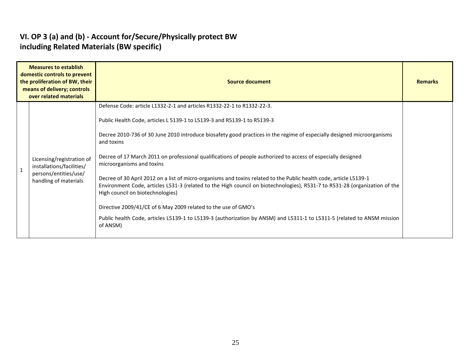## **VI. OP 3 (a) and (b) - Account for/Secure/Physically protect BW including Related Materials (BW specific)**

| <b>Measures to establish</b><br>domestic controls to prevent<br>the proliferation of BW, their<br>means of delivery; controls<br>over related materials |                                                                                                          | <b>Source document</b>                                                                                                                                                                                                                                                                                                                                                                                                                                                                                                                                                                                                                                                                                                                                                                                                                                                                                                                  |  |  |  |  |  |  |  |  |
|---------------------------------------------------------------------------------------------------------------------------------------------------------|----------------------------------------------------------------------------------------------------------|-----------------------------------------------------------------------------------------------------------------------------------------------------------------------------------------------------------------------------------------------------------------------------------------------------------------------------------------------------------------------------------------------------------------------------------------------------------------------------------------------------------------------------------------------------------------------------------------------------------------------------------------------------------------------------------------------------------------------------------------------------------------------------------------------------------------------------------------------------------------------------------------------------------------------------------------|--|--|--|--|--|--|--|--|
|                                                                                                                                                         | Licensing/registration of<br>installations/facilities/<br>persons/entities/use/<br>handling of materials | Defense Code: article L1332-2-1 and articles R1332-22-1 to R1332-22-3.<br>Public Health Code, articles L 5139-1 to L5139-3 and R5139-1 to R5139-3<br>Decree 2010-736 of 30 June 2010 introduce biosafety good practices in the regime of especially designed microorganisms<br>and toxins<br>Decree of 17 March 2011 on professional qualifications of people authorized to access of especially designed<br>microorganisms and toxins<br>Decree of 30 April 2012 on a list of micro-organisms and toxins related to the Public health code, article L5139-1<br>Environment Code, articles L531-3 (related to the High council on biotechnologies), R531-7 to R531-28 (organization of the<br>High council on biotechnologies)<br>Directive 2009/41/CE of 6 May 2009 related to the use of GMO's<br>Public health Code, articles L5139-1 to L5139-3 (authorization by ANSM) and L5311-1 to L5311-5 (related to ANSM mission<br>of ANSM) |  |  |  |  |  |  |  |  |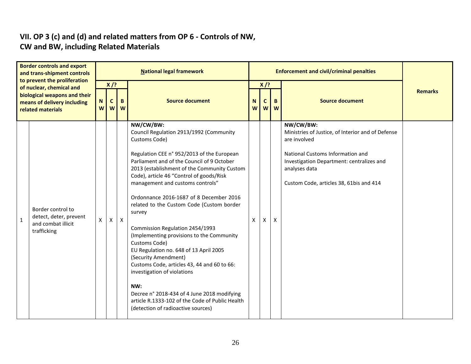#### **VII. OP 3 (c) and (d) and related matters from OP 6 - Controls of NW, CW and BW, including Related Materials**

| <b>Border controls and export</b><br>and trans-shipment controls<br>to prevent the proliferation |                                                                                  |                     |                  |                   | <b>National legal framework</b>                                                                                                                                                                                                                                                                                                                                                                                                                                                                                                                                                                                                                                                                                                                                                                    |                      |              |           | <b>Enforcement and civil/criminal penalties</b>                                                                                                                                                                             |                |
|--------------------------------------------------------------------------------------------------|----------------------------------------------------------------------------------|---------------------|------------------|-------------------|----------------------------------------------------------------------------------------------------------------------------------------------------------------------------------------------------------------------------------------------------------------------------------------------------------------------------------------------------------------------------------------------------------------------------------------------------------------------------------------------------------------------------------------------------------------------------------------------------------------------------------------------------------------------------------------------------------------------------------------------------------------------------------------------------|----------------------|--------------|-----------|-----------------------------------------------------------------------------------------------------------------------------------------------------------------------------------------------------------------------------|----------------|
|                                                                                                  | of nuclear, chemical and                                                         |                     | $X$ /?           |                   |                                                                                                                                                                                                                                                                                                                                                                                                                                                                                                                                                                                                                                                                                                                                                                                                    |                      | $X$ /?       |           |                                                                                                                                                                                                                             | <b>Remarks</b> |
| biological weapons and their<br>means of delivery including<br>related materials                 |                                                                                  | N<br>W <sub>1</sub> | $\mathbf c$<br>W | $\mathbf{B}$<br>W | <b>Source document</b>                                                                                                                                                                                                                                                                                                                                                                                                                                                                                                                                                                                                                                                                                                                                                                             | N.<br>W <sub>1</sub> | $\mathsf{C}$ | B.<br>w w | <b>Source document</b>                                                                                                                                                                                                      |                |
| 1                                                                                                | Border control to<br>detect, deter, prevent<br>and combat illicit<br>trafficking | X                   | X                | $\mathsf{x}$      | NW/CW/BW:<br>Council Regulation 2913/1992 (Community<br>Customs Code)<br>Regulation CEE n° 952/2013 of the European<br>Parliament and of the Council of 9 October<br>2013 (establishment of the Community Custom<br>Code), article 46 "Control of goods/Risk<br>management and customs controls"<br>Ordonnance 2016-1687 of 8 December 2016<br>related to the Custom Code (Custom border<br>survey<br>Commission Regulation 2454/1993<br>(Implementing provisions to the Community<br>Customs Code)<br>EU Regulation no. 648 of 13 April 2005<br>(Security Amendment)<br>Customs Code, articles 43, 44 and 60 to 66:<br>investigation of violations<br>NW:<br>Decree n° 2018-434 of 4 June 2018 modifying<br>article R.1333-102 of the Code of Public Health<br>(detection of radioactive sources) | $\mathsf{x}$         | x            | X         | NW/CW/BW:<br>Ministries of Justice, of Interior and of Defense<br>are involved<br>National Customs Information and<br>Investigation Department: centralizes and<br>analyses data<br>Custom Code, articles 38, 61bis and 414 |                |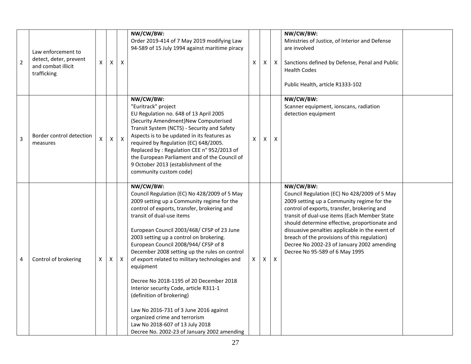| $\overline{2}$ | Law enforcement to<br>detect, deter, prevent<br>and combat illicit<br>trafficking | X | X              | X            | NW/CW/BW:<br>Order 2019-414 of 7 May 2019 modifying Law<br>94-589 of 15 July 1994 against maritime piracy                                                                                                                                                                                                                                                                                                                                                                                                                                                                                                                                                                                                           | X | X | $\mathsf{X}$ | NW/CW/BW:<br>Ministries of Justice, of Interior and Defense<br>are involved<br>Sanctions defined by Defense, Penal and Public<br><b>Health Codes</b><br>Public Health, article R1333-102                                                                                                                                                                                                                                                   |  |
|----------------|-----------------------------------------------------------------------------------|---|----------------|--------------|---------------------------------------------------------------------------------------------------------------------------------------------------------------------------------------------------------------------------------------------------------------------------------------------------------------------------------------------------------------------------------------------------------------------------------------------------------------------------------------------------------------------------------------------------------------------------------------------------------------------------------------------------------------------------------------------------------------------|---|---|--------------|--------------------------------------------------------------------------------------------------------------------------------------------------------------------------------------------------------------------------------------------------------------------------------------------------------------------------------------------------------------------------------------------------------------------------------------------|--|
| $\overline{3}$ | Border control detection<br>measures                                              | X | $\pmb{\times}$ | $\mathsf{X}$ | NW/CW/BW:<br>"Euritrack" project<br>EU Regulation no. 648 of 13 April 2005<br>(Security Amendment)New Computerised<br>Transit System (NCTS) - Security and Safety<br>Aspects is to be updated in its features as<br>required by Regulation (EC) 648/2005.<br>Replaced by: Regulation CEE n° 952/2013 of<br>the European Parliament and of the Council of<br>9 October 2013 (establishment of the<br>community custom code)                                                                                                                                                                                                                                                                                          | X | X | X            | NW/CW/BW:<br>Scanner equipment, ionscans, radiation<br>detection equipment                                                                                                                                                                                                                                                                                                                                                                 |  |
| 4              | Control of brokering                                                              | X | X              | $\mathsf{X}$ | NW/CW/BW:<br>Council Regulation (EC) No 428/2009 of 5 May<br>2009 setting up a Community regime for the<br>control of exports, transfer, brokering and<br>transit of dual-use items<br>European Council 2003/468/ CFSP of 23 June<br>2003 setting up a control on brokering.<br>European Council 2008/944/ CFSP of 8<br>December 2008 setting up the rules on control<br>of export related to military technologies and<br>equipment<br>Decree No 2018-1195 of 20 December 2018<br>Interior security Code, article R311-1<br>(definition of brokering)<br>Law No 2016-731 of 3 June 2016 against<br>organized crime and terrorism<br>Law No 2018-607 of 13 July 2018<br>Decree No. 2002-23 of January 2002 amending | X | X | $\mathsf{X}$ | NW/CW/BW:<br>Council Regulation (EC) No 428/2009 of 5 May<br>2009 setting up a Community regime for the<br>control of exports, transfer, brokering and<br>transit of dual-use items (Each Member State<br>should determine effective, proportionate and<br>dissuasive penalties applicable in the event of<br>breach of the provisions of this regulation)<br>Decree No 2002-23 of January 2002 amending<br>Decree No 95-589 of 6 May 1995 |  |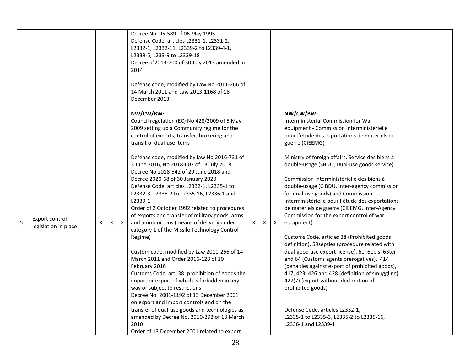|   |                                        |   |   |   | Decree No. 95-589 of 06 May 1995<br>Defense Code: articles L2331-1, L2331-2,<br>L2332-1, L2332-11, L2339-2 to L2339-4-1,<br>L2339-5, L233-9 to L2339-18<br>Decree n°2013-700 of 30 July 2013 amended in<br>2014<br>Defense code, modified by Law No 2011-266 of<br>14 March 2011 and Law 2013-1168 of 18<br>December 2013                                                                                                                                                                                                                                                                                                                                                                                                                                                                                                                                                                                                                                                                                                                                                                                                                                                    |    |   |              |                                                                                                                                                                                                                                                                                                                                                                                                                                                                                                                                                                                                                                                                                                                                                                                                                                                                                                                                                                                                                                                   |  |
|---|----------------------------------------|---|---|---|------------------------------------------------------------------------------------------------------------------------------------------------------------------------------------------------------------------------------------------------------------------------------------------------------------------------------------------------------------------------------------------------------------------------------------------------------------------------------------------------------------------------------------------------------------------------------------------------------------------------------------------------------------------------------------------------------------------------------------------------------------------------------------------------------------------------------------------------------------------------------------------------------------------------------------------------------------------------------------------------------------------------------------------------------------------------------------------------------------------------------------------------------------------------------|----|---|--------------|---------------------------------------------------------------------------------------------------------------------------------------------------------------------------------------------------------------------------------------------------------------------------------------------------------------------------------------------------------------------------------------------------------------------------------------------------------------------------------------------------------------------------------------------------------------------------------------------------------------------------------------------------------------------------------------------------------------------------------------------------------------------------------------------------------------------------------------------------------------------------------------------------------------------------------------------------------------------------------------------------------------------------------------------------|--|
| 5 | Export control<br>legislation in place | X | X | X | NW/CW/BW:<br>Council regulation (EC) No 428/2009 of 5 May<br>2009 setting up a Community regime for the<br>control of exports, transfer, brokering and<br>transit of dual-use items<br>Defense code, modified by law No 2016-731 of<br>3 June 2016, No 2018-607 of 13 July 2018,<br>Decree No 2018-542 of 29 June 2018 and<br>Decree 2020-68 of 30 January 2020<br>Defense Code, articles L2332-1, L2335-1 to<br>L2332-3, L2335-2 to L2335-16, L2336-1 and<br>L2339-1<br>Order of 2 October 1992 related to procedures<br>of exports and transfer of military goods, arms<br>and ammunitions (means of delivery under<br>category 1 of the Missile Technology Control<br>Regime)<br>Custom code, modified by Law 2011-266 of 14<br>March 2011 and Order 2016-128 of 10<br>February 2016<br>Customs Code, art. 38: prohibition of goods the<br>import or export of which is forbidden in any<br>way or subject to restrictions<br>Decree No. 2001-1192 of 13 December 2001<br>on export and import controls and on the<br>transfer of dual-use goods and technologies as<br>amended by Decree No. 2010-292 of 18 March<br>2010<br>Order of 13 December 2001 related to export | X. | X | $\mathsf{X}$ | NW/CW/BW:<br>Interministerial Commission for War<br>equipment - Commission interministérielle<br>pour l'étude des exportations de matériels de<br>guerre (CIEEMG)<br>Ministry of foreign affairs, Service des biens à<br>double-usage (SBDU, Dual-use goods service)<br>Commission interministérielle des biens à<br>double-usage (CIBDU, inter-agency commission<br>for dual-use goods) and Commission<br>interministérielle pour l'étude des exportations<br>de materiels de guerre (CIEEMG, Inter-Agency<br>Commission for the export control of war<br>equipment)<br>Customs Code, articles 38 (Prohibited goods<br>definition), 59 septies (procedure related with<br>dual-good use export license), 60, 61bis, 63ter<br>and 64 (Customs agents prerogatives), 414<br>(penalties against export of prohibited goods),<br>417, 423, 426 and 428 (definition of smuggling)<br>427(7) (export without declaration of<br>prohibited goods)<br>Defense Code, articles L2332-1,<br>L2335-1 to L2335-3, L2335-2 to L2335-16,<br>L2336-1 and L2339-1 |  |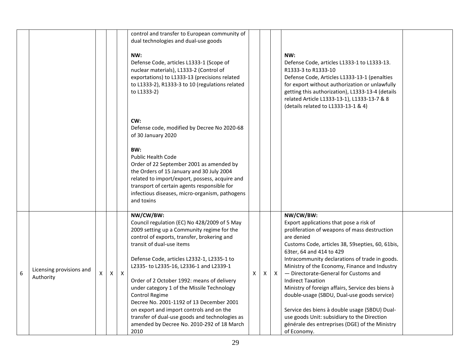|   |                                       |   |              |              | control and transfer to European community of<br>dual technologies and dual-use goods<br>NW:<br>Defense Code, articles L1333-1 (Scope of<br>nuclear materials), L1333-2 (Control of<br>exportations) to L1333-13 (precisions related<br>to L1333-2), R1333-3 to 10 (regulations related<br>to L1333-2)                                                                                                                                                                                                                                                                                    |   |     |              | NW:<br>Defense Code, articles L1333-1 to L1333-13.<br>R1333-3 to R1333-10<br>Defense Code, Articles L1333-13-1 (penalties<br>for export without authorization or unlawfully<br>getting this authorization), L1333-13-4 (details<br>related Article L1333-13-1), L1333-13-7 & 8<br>(details related to L1333-13-1 & 4)                                                                                                                                                                                                                                                                                                                            |  |
|---|---------------------------------------|---|--------------|--------------|-------------------------------------------------------------------------------------------------------------------------------------------------------------------------------------------------------------------------------------------------------------------------------------------------------------------------------------------------------------------------------------------------------------------------------------------------------------------------------------------------------------------------------------------------------------------------------------------|---|-----|--------------|--------------------------------------------------------------------------------------------------------------------------------------------------------------------------------------------------------------------------------------------------------------------------------------------------------------------------------------------------------------------------------------------------------------------------------------------------------------------------------------------------------------------------------------------------------------------------------------------------------------------------------------------------|--|
|   |                                       |   |              |              | CW:<br>Defense code, modified by Decree No 2020-68<br>of 30 January 2020<br>BW:<br><b>Public Health Code</b><br>Order of 22 September 2001 as amended by<br>the Orders of 15 January and 30 July 2004<br>related to import/export, possess, acquire and<br>transport of certain agents responsible for<br>infectious diseases, micro-organism, pathogens<br>and toxins                                                                                                                                                                                                                    |   |     |              |                                                                                                                                                                                                                                                                                                                                                                                                                                                                                                                                                                                                                                                  |  |
| 6 | Licensing provisions and<br>Authority | X | $\mathsf{X}$ | $\mathsf{X}$ | NW/CW/BW:<br>Council regulation (EC) No 428/2009 of 5 May<br>2009 setting up a Community regime for the<br>control of exports, transfer, brokering and<br>transit of dual-use items<br>Defense Code, articles L2332-1, L2335-1 to<br>L2335-to L2335-16, L2336-1 and L2339-1<br>Order of 2 October 1992: means of delivery<br>under category 1 of the Missile Technology<br>Control Regime<br>Decree No. 2001-1192 of 13 December 2001<br>on export and import controls and on the<br>transfer of dual-use goods and technologies as<br>amended by Decree No. 2010-292 of 18 March<br>2010 | X | X I | $\mathsf{X}$ | NW/CW/BW:<br>Export applications that pose a risk of<br>proliferation of weapons of mass destruction<br>are denied<br>Customs Code, articles 38, 59 septies, 60, 61 bis,<br>63ter, 64 and 414 to 429<br>Intracommunity declarations of trade in goods.<br>Ministry of the Economy, Finance and Industry<br>- Directorate-General for Customs and<br><b>Indirect Taxation</b><br>Ministry of foreign affairs, Service des biens à<br>double-usage (SBDU, Dual-use goods service)<br>Service des biens à double usage (SBDU) Dual-<br>use goods Unit: subsidiary to the Direction<br>générale des entreprises (DGE) of the Ministry<br>of Economy. |  |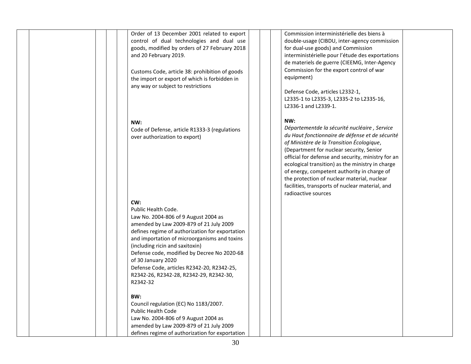|  | Order of 13 December 2001 related to export<br>control of dual technologies and dual use<br>goods, modified by orders of 27 February 2018<br>and 20 February 2019.<br>Customs Code, article 38: prohibition of goods<br>the import or export of which is forbidden in<br>any way or subject to restrictions                                                                                                                   | Commission interministérielle des biens à<br>double-usage (CIBDU, inter-agency commission<br>for dual-use goods) and Commission<br>interministérielle pour l'étude des exportations<br>de materiels de guerre (CIEEMG, Inter-Agency<br>Commission for the export control of war<br>equipment)<br>Defense Code, articles L2332-1,<br>L2335-1 to L2335-3, L2335-2 to L2335-16,<br>L2336-1 and L2339-1.                                                                              |
|--|-------------------------------------------------------------------------------------------------------------------------------------------------------------------------------------------------------------------------------------------------------------------------------------------------------------------------------------------------------------------------------------------------------------------------------|-----------------------------------------------------------------------------------------------------------------------------------------------------------------------------------------------------------------------------------------------------------------------------------------------------------------------------------------------------------------------------------------------------------------------------------------------------------------------------------|
|  | NW:<br>Code of Defense, article R1333-3 (regulations<br>over authorization to export)                                                                                                                                                                                                                                                                                                                                         | NW:<br>Départementde la sécurité nucléaire, Service<br>du Haut fonctionnaire de défense et de sécurité<br>of Ministère de la Transition Écologique,<br>(Department for nuclear security, Senior<br>official for defense and security, ministry for an<br>ecological transition) as the ministry in charge<br>of energy, competent authority in charge of<br>the protection of nuclear material, nuclear<br>facilities, transports of nuclear material, and<br>radioactive sources |
|  | CW:<br>Public Health Code.<br>Law No. 2004-806 of 9 August 2004 as<br>amended by Law 2009-879 of 21 July 2009<br>defines regime of authorization for exportation<br>and importation of microorganisms and toxins<br>(including ricin and saxitoxin)<br>Defense code, modified by Decree No 2020-68<br>of 30 January 2020<br>Defense Code, articles R2342-20, R2342-25,<br>R2342-26, R2342-28, R2342-29, R2342-30,<br>R2342-32 |                                                                                                                                                                                                                                                                                                                                                                                                                                                                                   |
|  | BW:<br>Council regulation (EC) No 1183/2007.<br><b>Public Health Code</b><br>Law No. 2004-806 of 9 August 2004 as<br>amended by Law 2009-879 of 21 July 2009<br>defines regime of authorization for exportation                                                                                                                                                                                                               |                                                                                                                                                                                                                                                                                                                                                                                                                                                                                   |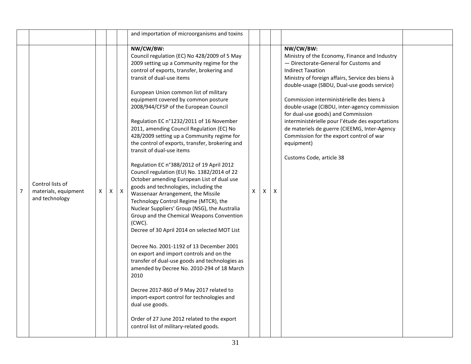|                |                                                            |   |   |              | and importation of microorganisms and toxins                                                                                                                                                                                                                                                                                                                                                                                                                                                                                                                                                                                                                                                                                                                                                                                                                                                                                                                                                                                                                                                                                                                                                                                                                                                                                                                          |   |   |   |                                                                                                                                                                                                                                                                                                                                                                                                                                                                                                                                                                 |  |
|----------------|------------------------------------------------------------|---|---|--------------|-----------------------------------------------------------------------------------------------------------------------------------------------------------------------------------------------------------------------------------------------------------------------------------------------------------------------------------------------------------------------------------------------------------------------------------------------------------------------------------------------------------------------------------------------------------------------------------------------------------------------------------------------------------------------------------------------------------------------------------------------------------------------------------------------------------------------------------------------------------------------------------------------------------------------------------------------------------------------------------------------------------------------------------------------------------------------------------------------------------------------------------------------------------------------------------------------------------------------------------------------------------------------------------------------------------------------------------------------------------------------|---|---|---|-----------------------------------------------------------------------------------------------------------------------------------------------------------------------------------------------------------------------------------------------------------------------------------------------------------------------------------------------------------------------------------------------------------------------------------------------------------------------------------------------------------------------------------------------------------------|--|
| $\overline{7}$ | Control lists of<br>materials, equipment<br>and technology | X | X | $\mathsf{X}$ | NW/CW/BW:<br>Council regulation (EC) No 428/2009 of 5 May<br>2009 setting up a Community regime for the<br>control of exports, transfer, brokering and<br>transit of dual-use items<br>European Union common list of military<br>equipment covered by common posture<br>2008/944/CFSP of the European Council<br>Regulation EC n°1232/2011 of 16 November<br>2011, amending Council Regulation (EC) No<br>428/2009 setting up a Community regime for<br>the control of exports, transfer, brokering and<br>transit of dual-use items<br>Regulation EC n°388/2012 of 19 April 2012<br>Council regulation (EU) No. 1382/2014 of 22<br>October amending European List of dual use<br>goods and technologies, including the<br>Wassenaar Arrangement, the Missile<br>Technology Control Regime (MTCR), the<br>Nuclear Suppliers' Group (NSG), the Australia<br>Group and the Chemical Weapons Convention<br>(CWC).<br>Decree of 30 April 2014 on selected MOT List<br>Decree No. 2001-1192 of 13 December 2001<br>on export and import controls and on the<br>transfer of dual-use goods and technologies as<br>amended by Decree No. 2010-294 of 18 March<br>2010<br>Decree 2017-860 of 9 May 2017 related to<br>import-export control for technologies and<br>dual use goods.<br>Order of 27 June 2012 related to the export<br>control list of military-related goods. | X | X | X | NW/CW/BW:<br>Ministry of the Economy, Finance and Industry<br>- Directorate-General for Customs and<br><b>Indirect Taxation</b><br>Ministry of foreign affairs, Service des biens à<br>double-usage (SBDU, Dual-use goods service)<br>Commission interministérielle des biens à<br>double-usage (CIBDU, inter-agency commission<br>for dual-use goods) and Commission<br>interministérielle pour l'étude des exportations<br>de materiels de guerre (CIEEMG, Inter-Agency<br>Commission for the export control of war<br>equipment)<br>Customs Code, article 38 |  |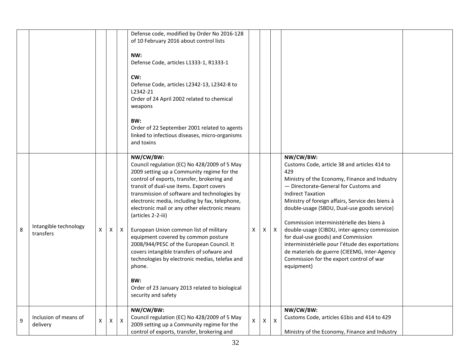|   |                                    |   |   |                | Defense code, modified by Order No 2016-128<br>of 10 February 2016 about control lists<br>NW:<br>Defense Code, articles L1333-1, R1333-1<br>CW:<br>Defense Code, articles L2342-13, L2342-8 to<br>L2342-21<br>Order of 24 April 2002 related to chemical<br>weapons<br>BW:<br>Order of 22 September 2001 related to agents<br>linked to infectious diseases, micro-organisms<br>and toxins                                                                                                                                                                                                                                                                                                          |              |   |                  |                                                                                                                                                                                                                                                                                                                                                                                                                                                                                                                                                                                            |  |
|---|------------------------------------|---|---|----------------|-----------------------------------------------------------------------------------------------------------------------------------------------------------------------------------------------------------------------------------------------------------------------------------------------------------------------------------------------------------------------------------------------------------------------------------------------------------------------------------------------------------------------------------------------------------------------------------------------------------------------------------------------------------------------------------------------------|--------------|---|------------------|--------------------------------------------------------------------------------------------------------------------------------------------------------------------------------------------------------------------------------------------------------------------------------------------------------------------------------------------------------------------------------------------------------------------------------------------------------------------------------------------------------------------------------------------------------------------------------------------|--|
| 8 | Intangible technology<br>transfers | X | X | X              | NW/CW/BW:<br>Council regulation (EC) No 428/2009 of 5 May<br>2009 setting up a Community regime for the<br>control of exports, transfer, brokering and<br>transit of dual-use items. Export covers<br>transmission of software and technologies by<br>electronic media, including by fax, telephone,<br>electronic mail or any other electronic means<br>(articles 2-2-iii)<br>European Union common list of military<br>equipment covered by common posture<br>2008/944/PESC of the European Council. It<br>covers intangible transfers of sofware and<br>technologies by electronic medias, telefax and<br>phone.<br>BW:<br>Order of 23 January 2013 related to biological<br>security and safety | X            | X | $\boldsymbol{X}$ | NW/CW/BW:<br>Customs Code, article 38 and articles 414 to<br>429<br>Ministry of the Economy, Finance and Industry<br>- Directorate-General for Customs and<br><b>Indirect Taxation</b><br>Ministry of foreign affairs, Service des biens à<br>double-usage (SBDU, Dual-use goods service)<br>Commission interministérielle des biens à<br>double-usage (CIBDU, inter-agency commission<br>for dual-use goods) and Commission<br>interministérielle pour l'étude des exportations<br>de materiels de guerre (CIEEMG, Inter-Agency<br>Commission for the export control of war<br>equipment) |  |
| 9 | Inclusion of means of<br>delivery  | Χ | X | $\pmb{\times}$ | NW/CW/BW:<br>Council regulation (EC) No 428/2009 of 5 May<br>2009 setting up a Community regime for the<br>control of exports, transfer, brokering and                                                                                                                                                                                                                                                                                                                                                                                                                                                                                                                                              | $\mathsf{X}$ | X | $\pmb{\times}$   | NW/CW/BW:<br>Customs Code, articles 61bis and 414 to 429<br>Ministry of the Economy, Finance and Industry                                                                                                                                                                                                                                                                                                                                                                                                                                                                                  |  |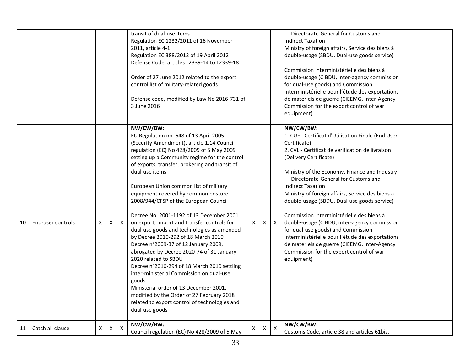|    |                   |   |   |              | transit of dual-use items<br>Regulation EC 1232/2011 of 16 November<br>2011, article 4-1<br>Regulation EC 388/2012 of 19 April 2012<br>Defense Code: articles L2339-14 to L2339-18<br>Order of 27 June 2012 related to the export<br>control list of military-related goods<br>Defense code, modified by Law No 2016-731 of<br>3 June 2016                                                                                                                                                                                                                                                                                                                                                                                                                                                                                                                                                                                                                |   |   |              | - Directorate-General for Customs and<br><b>Indirect Taxation</b><br>Ministry of foreign affairs, Service des biens à<br>double-usage (SBDU, Dual-use goods service)<br>Commission interministérielle des biens à<br>double-usage (CIBDU, inter-agency commission<br>for dual-use goods) and Commission<br>interministérielle pour l'étude des exportations<br>de materiels de guerre (CIEEMG, Inter-Agency<br>Commission for the export control of war<br>equipment)                                                                                                                                                                                                                   |
|----|-------------------|---|---|--------------|-----------------------------------------------------------------------------------------------------------------------------------------------------------------------------------------------------------------------------------------------------------------------------------------------------------------------------------------------------------------------------------------------------------------------------------------------------------------------------------------------------------------------------------------------------------------------------------------------------------------------------------------------------------------------------------------------------------------------------------------------------------------------------------------------------------------------------------------------------------------------------------------------------------------------------------------------------------|---|---|--------------|-----------------------------------------------------------------------------------------------------------------------------------------------------------------------------------------------------------------------------------------------------------------------------------------------------------------------------------------------------------------------------------------------------------------------------------------------------------------------------------------------------------------------------------------------------------------------------------------------------------------------------------------------------------------------------------------|
| 10 | End-user controls | X | X | $\mathsf{X}$ | NW/CW/BW:<br>EU Regulation no. 648 of 13 April 2005<br>(Security Amendment), article 1.14. Council<br>regulation (EC) No 428/2009 of 5 May 2009<br>setting up a Community regime for the control<br>of exports, transfer, brokering and transit of<br>dual-use items<br>European Union common list of military<br>equipment covered by common posture<br>2008/944/CFSP of the European Council<br>Decree No. 2001-1192 of 13 December 2001<br>on export, import and transfer controls for<br>dual-use goods and technologies as amended<br>by Decree 2010-292 of 18 March 2010<br>Decree n°2009-37 of 12 January 2009,<br>abrogated by Decree 2020-74 of 31 January<br>2020 related to SBDU<br>Decree n°2010-294 of 18 March 2010 settling<br>inter-ministerial Commission on dual-use<br>goods<br>Ministerial order of 13 December 2001,<br>modified by the Order of 27 February 2018<br>related to export control of technologies and<br>dual-use goods | X | X | $\mathsf{X}$ | NW/CW/BW:<br>1. CUF - Certificat d'Utilisation Finale (End User<br>Certificate)<br>2. CVL - Certificat de verification de livraison<br>(Delivery Certificate)<br>Ministry of the Economy, Finance and Industry<br>- Directorate-General for Customs and<br><b>Indirect Taxation</b><br>Ministry of foreign affairs, Service des biens à<br>double-usage (SBDU, Dual-use goods service)<br>Commission interministérielle des biens à<br>double-usage (CIBDU, inter-agency commission<br>for dual-use goods) and Commission<br>interministérielle pour l'étude des exportations<br>de materiels de guerre (CIEEMG, Inter-Agency<br>Commission for the export control of war<br>equipment) |
| 11 | Catch all clause  | X | X | $\mathsf{X}$ | NW/CW/BW:<br>Council regulation (EC) No 428/2009 of 5 May                                                                                                                                                                                                                                                                                                                                                                                                                                                                                                                                                                                                                                                                                                                                                                                                                                                                                                 | X | X | $\mathsf{X}$ | NW/CW/BW:<br>Customs Code, article 38 and articles 61bis,                                                                                                                                                                                                                                                                                                                                                                                                                                                                                                                                                                                                                               |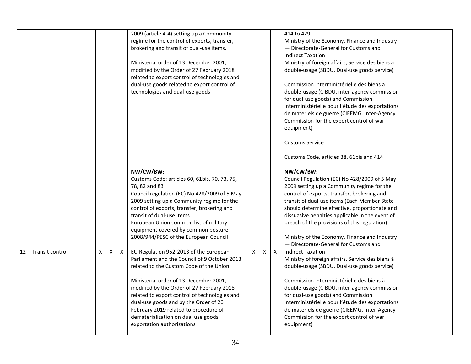|    |                        |   |   |              | 2009 (article 4-4) setting up a Community<br>regime for the control of exports, transfer,<br>brokering and transit of dual-use items.<br>Ministerial order of 13 December 2001,<br>modified by the Order of 27 February 2018<br>related to export control of technologies and<br>dual-use goods related to export control of<br>technologies and dual-use goods                                                                                                                                                                                                                                                                                                                                                                                                                                                     |   |   |              | 414 to 429<br>Ministry of the Economy, Finance and Industry<br>- Directorate-General for Customs and<br><b>Indirect Taxation</b><br>Ministry of foreign affairs, Service des biens à<br>double-usage (SBDU, Dual-use goods service)<br>Commission interministérielle des biens à<br>double-usage (CIBDU, inter-agency commission<br>for dual-use goods) and Commission<br>interministérielle pour l'étude des exportations<br>de materiels de guerre (CIEEMG, Inter-Agency<br>Commission for the export control of war<br>equipment)<br><b>Customs Service</b><br>Customs Code, articles 38, 61bis and 414                                                                                                                                                                                                                                                                           |  |
|----|------------------------|---|---|--------------|---------------------------------------------------------------------------------------------------------------------------------------------------------------------------------------------------------------------------------------------------------------------------------------------------------------------------------------------------------------------------------------------------------------------------------------------------------------------------------------------------------------------------------------------------------------------------------------------------------------------------------------------------------------------------------------------------------------------------------------------------------------------------------------------------------------------|---|---|--------------|--------------------------------------------------------------------------------------------------------------------------------------------------------------------------------------------------------------------------------------------------------------------------------------------------------------------------------------------------------------------------------------------------------------------------------------------------------------------------------------------------------------------------------------------------------------------------------------------------------------------------------------------------------------------------------------------------------------------------------------------------------------------------------------------------------------------------------------------------------------------------------------|--|
| 12 | <b>Transit control</b> | X | X | $\mathsf{X}$ | NW/CW/BW:<br>Customs Code: articles 60, 61bis, 70, 73, 75,<br>78, 82 and 83<br>Council regulation (EC) No 428/2009 of 5 May<br>2009 setting up a Community regime for the<br>control of exports, transfer, brokering and<br>transit of dual-use items<br>European Union common list of military<br>equipment covered by common posture<br>2008/944/PESC of the European Council<br>EU Regulation 952-2013 of the European<br>Parliament and the Council of 9 October 2013<br>related to the Custom Code of the Union<br>Ministerial order of 13 December 2001,<br>modified by the Order of 27 February 2018<br>related to export control of technologies and<br>dual-use goods and by the Order of 20<br>February 2019 related to procedure of<br>dematerialization on dual use goods<br>exportation authorizations | X | X | $\mathsf{X}$ | NW/CW/BW:<br>Council Regulation (EC) No 428/2009 of 5 May<br>2009 setting up a Community regime for the<br>control of exports, transfer, brokering and<br>transit of dual-use items (Each Member State<br>should determine effective, proportionate and<br>dissuasive penalties applicable in the event of<br>breach of the provisions of this regulation)<br>Ministry of the Economy, Finance and Industry<br>- Directorate-General for Customs and<br><b>Indirect Taxation</b><br>Ministry of foreign affairs, Service des biens à<br>double-usage (SBDU, Dual-use goods service)<br>Commission interministérielle des biens à<br>double-usage (CIBDU, inter-agency commission<br>for dual-use goods) and Commission<br>interministérielle pour l'étude des exportations<br>de materiels de guerre (CIEEMG, Inter-Agency<br>Commission for the export control of war<br>equipment) |  |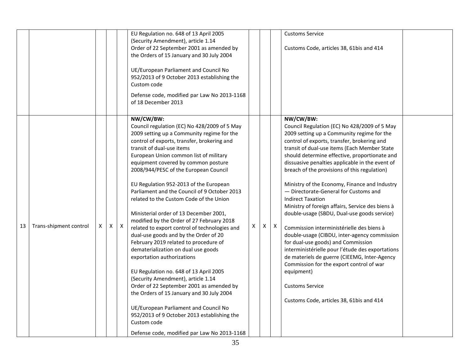|    |                        |   |   |   | EU Regulation no. 648 of 13 April 2005<br>(Security Amendment), article 1.14<br>Order of 22 September 2001 as amended by<br>the Orders of 15 January and 30 July 2004<br>UE/European Parliament and Council No<br>952/2013 of 9 October 2013 establishing the<br>Custom code<br>Defense code, modified par Law No 2013-1168<br>of 18 December 2013                                                                                                                                                                                                                                                                                                                                                                                                                                                                                                                                                                                                                                                                                                                               |   |   |              | <b>Customs Service</b><br>Customs Code, articles 38, 61bis and 414                                                                                                                                                                                                                                                                                                                                                                                                                                                                                                                                                                                                                                                                                                                                                                                                                                                                                         |  |
|----|------------------------|---|---|---|----------------------------------------------------------------------------------------------------------------------------------------------------------------------------------------------------------------------------------------------------------------------------------------------------------------------------------------------------------------------------------------------------------------------------------------------------------------------------------------------------------------------------------------------------------------------------------------------------------------------------------------------------------------------------------------------------------------------------------------------------------------------------------------------------------------------------------------------------------------------------------------------------------------------------------------------------------------------------------------------------------------------------------------------------------------------------------|---|---|--------------|------------------------------------------------------------------------------------------------------------------------------------------------------------------------------------------------------------------------------------------------------------------------------------------------------------------------------------------------------------------------------------------------------------------------------------------------------------------------------------------------------------------------------------------------------------------------------------------------------------------------------------------------------------------------------------------------------------------------------------------------------------------------------------------------------------------------------------------------------------------------------------------------------------------------------------------------------------|--|
| 13 | Trans-shipment control | X | Χ | X | NW/CW/BW:<br>Council regulation (EC) No 428/2009 of 5 May<br>2009 setting up a Community regime for the<br>control of exports, transfer, brokering and<br>transit of dual-use items<br>European Union common list of military<br>equipment covered by common posture<br>2008/944/PESC of the European Council<br>EU Regulation 952-2013 of the European<br>Parliament and the Council of 9 October 2013<br>related to the Custom Code of the Union<br>Ministerial order of 13 December 2001,<br>modified by the Order of 27 February 2018<br>related to export control of technologies and<br>dual-use goods and by the Order of 20<br>February 2019 related to procedure of<br>dematerialization on dual use goods<br>exportation authorizations<br>EU Regulation no. 648 of 13 April 2005<br>(Security Amendment), article 1.14<br>Order of 22 September 2001 as amended by<br>the Orders of 15 January and 30 July 2004<br>UE/European Parliament and Council No<br>952/2013 of 9 October 2013 establishing the<br>Custom code<br>Defense code, modified par Law No 2013-1168 | X | Χ | $\mathsf{X}$ | NW/CW/BW:<br>Council Regulation (EC) No 428/2009 of 5 May<br>2009 setting up a Community regime for the<br>control of exports, transfer, brokering and<br>transit of dual-use items (Each Member State<br>should determine effective, proportionate and<br>dissuasive penalties applicable in the event of<br>breach of the provisions of this regulation)<br>Ministry of the Economy, Finance and Industry<br>- Directorate-General for Customs and<br><b>Indirect Taxation</b><br>Ministry of foreign affairs, Service des biens à<br>double-usage (SBDU, Dual-use goods service)<br>Commission interministérielle des biens à<br>double-usage (CIBDU, inter-agency commission<br>for dual-use goods) and Commission<br>interministérielle pour l'étude des exportations<br>de materiels de guerre (CIEEMG, Inter-Agency<br>Commission for the export control of war<br>equipment)<br><b>Customs Service</b><br>Customs Code, articles 38, 61bis and 414 |  |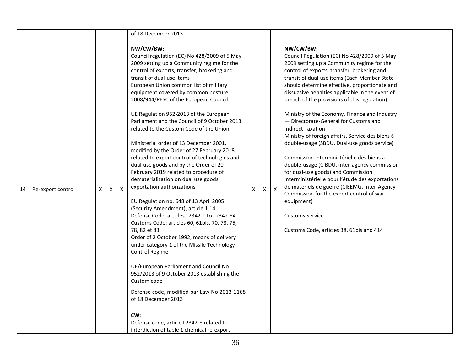|    |                   |   |   |              | of 18 December 2013                                                                                                                                                                                                                                                                                                                                                                                                                                                                                                                                                                                                                                                                                                                                                                                                                                                                                                                                                                                                                                                                                                                                                                                                                                                                                                                          |   |   |                           |                                                                                                                                                                                                                                                                                                                                                                                                                                                                                                                                                                                                                                                                                                                                                                                                                                                                                                                                                            |  |
|----|-------------------|---|---|--------------|----------------------------------------------------------------------------------------------------------------------------------------------------------------------------------------------------------------------------------------------------------------------------------------------------------------------------------------------------------------------------------------------------------------------------------------------------------------------------------------------------------------------------------------------------------------------------------------------------------------------------------------------------------------------------------------------------------------------------------------------------------------------------------------------------------------------------------------------------------------------------------------------------------------------------------------------------------------------------------------------------------------------------------------------------------------------------------------------------------------------------------------------------------------------------------------------------------------------------------------------------------------------------------------------------------------------------------------------|---|---|---------------------------|------------------------------------------------------------------------------------------------------------------------------------------------------------------------------------------------------------------------------------------------------------------------------------------------------------------------------------------------------------------------------------------------------------------------------------------------------------------------------------------------------------------------------------------------------------------------------------------------------------------------------------------------------------------------------------------------------------------------------------------------------------------------------------------------------------------------------------------------------------------------------------------------------------------------------------------------------------|--|
| 14 | Re-export control | X | X | $\mathsf{X}$ | NW/CW/BW:<br>Council regulation (EC) No 428/2009 of 5 May<br>2009 setting up a Community regime for the<br>control of exports, transfer, brokering and<br>transit of dual-use items<br>European Union common list of military<br>equipment covered by common posture<br>2008/944/PESC of the European Council<br>UE Regulation 952-2013 of the European<br>Parliament and the Council of 9 October 2013<br>related to the Custom Code of the Union<br>Ministerial order of 13 December 2001,<br>modified by the Order of 27 February 2018<br>related to export control of technologies and<br>dual-use goods and by the Order of 20<br>February 2019 related to procedure of<br>dematerialization on dual use goods<br>exportation authorizations<br>EU Regulation no. 648 of 13 April 2005<br>(Security Amendment), article 1.14<br>Defense Code, articles L2342-1 to L2342-84<br>Customs Code: articles 60, 61bis, 70, 73, 75,<br>78, 82 et 83<br>Order of 2 October 1992, means of delivery<br>under category 1 of the Missile Technology<br>Control Regime<br>UE/European Parliament and Council No<br>952/2013 of 9 October 2013 establishing the<br>Custom code<br>Defense code, modified par Law No 2013-1168<br>of 18 December 2013<br>CW:<br>Defense code, article L2342-8 related to<br>interdiction of table 1 chemical re-export | X | X | $\boldsymbol{\mathsf{X}}$ | NW/CW/BW:<br>Council Regulation (EC) No 428/2009 of 5 May<br>2009 setting up a Community regime for the<br>control of exports, transfer, brokering and<br>transit of dual-use items (Each Member State<br>should determine effective, proportionate and<br>dissuasive penalties applicable in the event of<br>breach of the provisions of this regulation)<br>Ministry of the Economy, Finance and Industry<br>- Directorate-General for Customs and<br><b>Indirect Taxation</b><br>Ministry of foreign affairs, Service des biens à<br>double-usage (SBDU, Dual-use goods service)<br>Commission interministérielle des biens à<br>double-usage (CIBDU, inter-agency commission<br>for dual-use goods) and Commission<br>interministérielle pour l'étude des exportations<br>de materiels de guerre (CIEEMG, Inter-Agency<br>Commission for the export control of war<br>equipment)<br><b>Customs Service</b><br>Customs Code, articles 38, 61bis and 414 |  |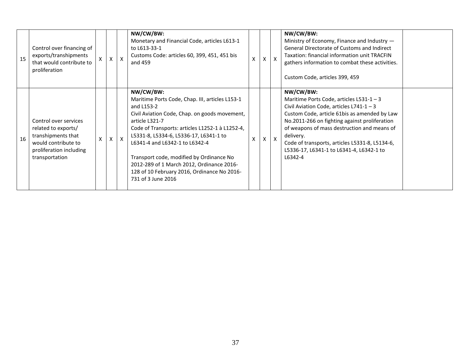| 15 | Control over financing of<br>exports/transhipments<br>that would contribute to<br>proliferation                                        |   | X | $\mathsf{X}$ | NW/CW/BW:<br>Monetary and Financial Code, articles L613-1<br>to L613-33-1<br>Customs Code: articles 60, 399, 451, 451 bis<br>and 459                                                                                                                                                                                                                                                                                                       | X            | $\mathsf{x}$ | NW/CW/BW:<br>Ministry of Economy, Finance and Industry -<br>General Directorate of Customs and Indirect<br>Taxation: financial information unit TRACFIN<br>gathers information to combat these activities.<br>Custom Code, articles 399, 459                                                                                                                            |  |
|----|----------------------------------------------------------------------------------------------------------------------------------------|---|---|--------------|--------------------------------------------------------------------------------------------------------------------------------------------------------------------------------------------------------------------------------------------------------------------------------------------------------------------------------------------------------------------------------------------------------------------------------------------|--------------|--------------|-------------------------------------------------------------------------------------------------------------------------------------------------------------------------------------------------------------------------------------------------------------------------------------------------------------------------------------------------------------------------|--|
| 16 | Control over services<br>related to exports/<br>transhipments that<br>would contribute to<br>proliferation including<br>transportation | X | X | $\mathsf{x}$ | NW/CW/BW:<br>Maritime Ports Code, Chap. III, articles L153-1<br>and L153-2<br>Civil Aviation Code, Chap. on goods movement,<br>article L321-7<br>Code of Transports: articles L1252-1 à L1252-4,<br>L5331-8, L5334-6, L5336-17, L6341-1 to<br>L6341-4 and L6342-1 to L6342-4<br>Transport code, modified by Ordinance No<br>2012-289 of 1 March 2012, Ordinance 2016-<br>128 of 10 February 2016, Ordinance No 2016-<br>731 of 3 June 2016 | $\mathsf{X}$ | $\mathsf{x}$ | NW/CW/BW:<br>Maritime Ports Code, articles $L531-1-3$<br>Civil Aviation Code, articles $L741-1-3$<br>Custom Code, article 61bis as amended by Law<br>No.2011-266 on fighting against proliferation<br>of weapons of mass destruction and means of<br>delivery.<br>Code of transports, articles L5331-8, L5134-6,<br>L5336-17, L6341-1 to L6341-4, L6342-1 to<br>L6342-4 |  |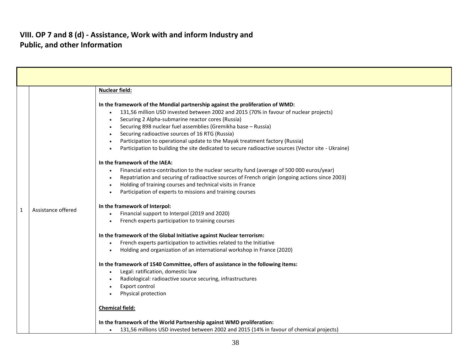#### **VIII. OP 7 and 8 (d) - Assistance, Work with and inform Industry and Public, and other Information**

| <b>Nuclear field:</b><br>In the framework of the Mondial partnership against the proliferation of WMD:<br>131,56 million USD invested between 2002 and 2015 (70% in favour of nuclear projects)<br>Securing 2 Alpha-submarine reactor cores (Russia)<br>Securing 898 nuclear fuel assemblies (Gremikha base - Russia)<br>Securing radioactive sources of 16 RTG (Russia)<br>Participation to operational update to the Mayak treatment factory (Russia)<br>Participation to building the site dedicated to secure radioactive sources (Vector site - Ukraine)                                                                                                                                                                                                                                                                                                                                                                                                                      |  |
|------------------------------------------------------------------------------------------------------------------------------------------------------------------------------------------------------------------------------------------------------------------------------------------------------------------------------------------------------------------------------------------------------------------------------------------------------------------------------------------------------------------------------------------------------------------------------------------------------------------------------------------------------------------------------------------------------------------------------------------------------------------------------------------------------------------------------------------------------------------------------------------------------------------------------------------------------------------------------------|--|
|                                                                                                                                                                                                                                                                                                                                                                                                                                                                                                                                                                                                                                                                                                                                                                                                                                                                                                                                                                                    |  |
| In the framework of the IAEA:<br>Financial extra-contribution to the nuclear security fund (average of 500 000 euros/year)<br>Repatriation and securing of radioactive sources of French origin (ongoing actions since 2003)<br>Holding of training courses and technical visits in France<br>Participation of experts to missions and training courses<br>In the framework of Interpol:<br>Assistance offered<br>1<br>Financial support to Interpol (2019 and 2020)<br>French experts participation to training courses<br>In the framework of the Global Initiative against Nuclear terrorism:<br>French experts participation to activities related to the Initiative<br>Holding and organization of an international workshop in France (2020)<br>In the framework of 1540 Committee, offers of assistance in the following items:<br>Legal: ratification, domestic law<br>Radiological: radioactive source securing, infrastructures<br>Export control<br>Physical protection |  |
| <b>Chemical field:</b>                                                                                                                                                                                                                                                                                                                                                                                                                                                                                                                                                                                                                                                                                                                                                                                                                                                                                                                                                             |  |
| In the framework of the World Partnership against WMD proliferation:<br>131,56 millions USD invested between 2002 and 2015 (14% in favour of chemical projects)<br>$\bullet$                                                                                                                                                                                                                                                                                                                                                                                                                                                                                                                                                                                                                                                                                                                                                                                                       |  |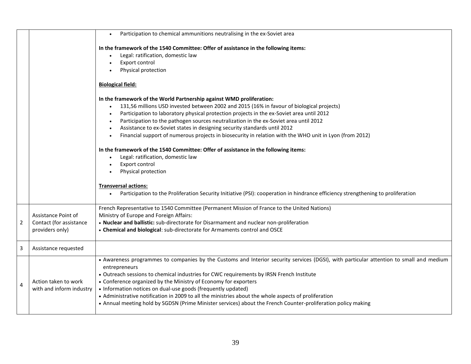|                |                                                                   | Participation to chemical ammunitions neutralising in the ex-Soviet area                                                                                                                                                                                                                                                                                                                                                                                                                                                                                                                                                                                                                                                                                                                                                                                                                                          |
|----------------|-------------------------------------------------------------------|-------------------------------------------------------------------------------------------------------------------------------------------------------------------------------------------------------------------------------------------------------------------------------------------------------------------------------------------------------------------------------------------------------------------------------------------------------------------------------------------------------------------------------------------------------------------------------------------------------------------------------------------------------------------------------------------------------------------------------------------------------------------------------------------------------------------------------------------------------------------------------------------------------------------|
|                |                                                                   | In the framework of the 1540 Committee: Offer of assistance in the following items:<br>Legal: ratification, domestic law<br>Export control<br>Physical protection                                                                                                                                                                                                                                                                                                                                                                                                                                                                                                                                                                                                                                                                                                                                                 |
|                |                                                                   | <b>Biological field:</b>                                                                                                                                                                                                                                                                                                                                                                                                                                                                                                                                                                                                                                                                                                                                                                                                                                                                                          |
|                |                                                                   | In the framework of the World Partnership against WMD proliferation:<br>131,56 millions USD invested between 2002 and 2015 (16% in favour of biological projects)<br>Participation to laboratory physical protection projects in the ex-Soviet area until 2012<br>$\bullet$<br>Participation to the pathogen sources neutralization in the ex-Soviet area until 2012<br>$\bullet$<br>Assistance to ex-Soviet states in designing security standards until 2012<br>Financial support of numerous projects in biosecurity in relation with the WHO unit in Lyon (from 2012)<br>In the framework of the 1540 Committee: Offer of assistance in the following items:<br>Legal: ratification, domestic law<br>Export control<br>Physical protection<br><b>Transversal actions:</b><br>Participation to the Proliferation Security Initiative (PSI): cooperation in hindrance efficiency strengthening to proliferation |
| 2              | Assistance Point of<br>Contact (for assistance<br>providers only) | French Representative to 1540 Committee (Permanent Mission of France to the United Nations)<br>Ministry of Europe and Foreign Affairs:<br>. Nuclear and ballistic: sub-directorate for Disarmament and nuclear non-proliferation<br>• Chemical and biological: sub-directorate for Armaments control and OSCE                                                                                                                                                                                                                                                                                                                                                                                                                                                                                                                                                                                                     |
| 3              | Assistance requested                                              |                                                                                                                                                                                                                                                                                                                                                                                                                                                                                                                                                                                                                                                                                                                                                                                                                                                                                                                   |
| $\overline{4}$ | Action taken to work<br>with and inform industry                  | • Awareness programmes to companies by the Customs and Interior security services (DGSI), with particular attention to small and medium<br>entrepreneurs<br>• Outreach sessions to chemical industries for CWC requirements by IRSN French Institute<br>• Conference organized by the Ministry of Economy for exporters<br>• Information notices on dual-use goods (frequently updated)<br>• Administrative notification in 2009 to all the ministries about the whole aspects of proliferation<br>• Annual meeting hold by SGDSN (Prime Minister services) about the French Counter-proliferation policy making                                                                                                                                                                                                                                                                                                  |